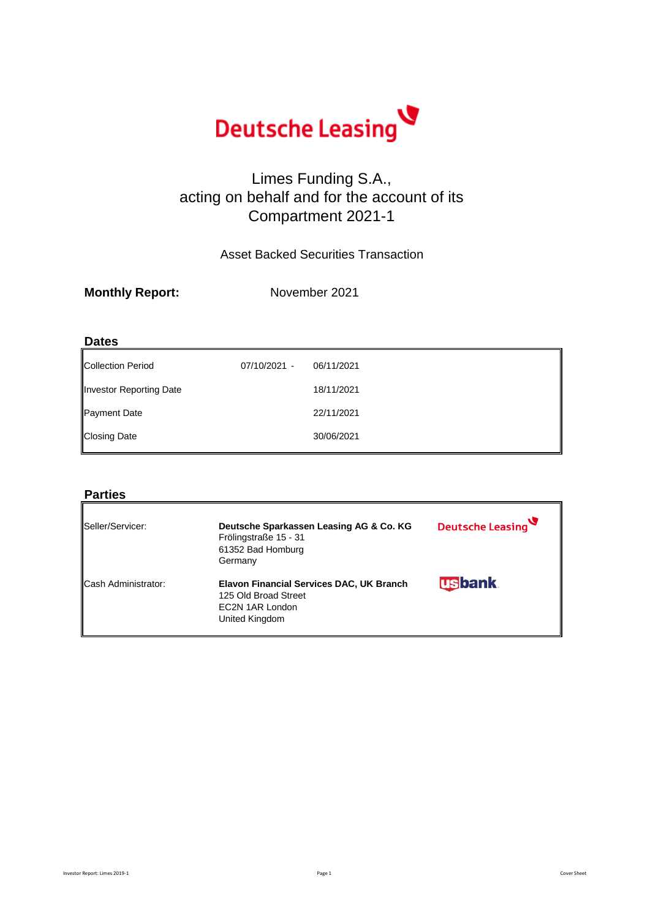

## Limes Funding S.A., acting on behalf and for the account of its Compartment 2021-1

Asset Backed Securities Transaction

| <b>Monthly Report:</b> | November 2021 |
|------------------------|---------------|
|                        |               |

### **Dates**

| Collection Period       | 07/10/2021 - | 06/11/2021 |
|-------------------------|--------------|------------|
| Investor Reporting Date |              | 18/11/2021 |
| <b>Payment Date</b>     |              | 22/11/2021 |
| <b>Closing Date</b>     |              | 30/06/2021 |

### **Parties**

| Seller/Servicer:           | Deutsche Sparkassen Leasing AG & Co. KG<br>Frölingstraße 15 - 31<br>61352 Bad Homburg<br>Germany      | Deutsche Leasing |
|----------------------------|-------------------------------------------------------------------------------------------------------|------------------|
| <b>Cash Administrator:</b> | Elavon Financial Services DAC, UK Branch<br>125 Old Broad Street<br>EC2N 1AR London<br>United Kingdom | <b>usbank</b>    |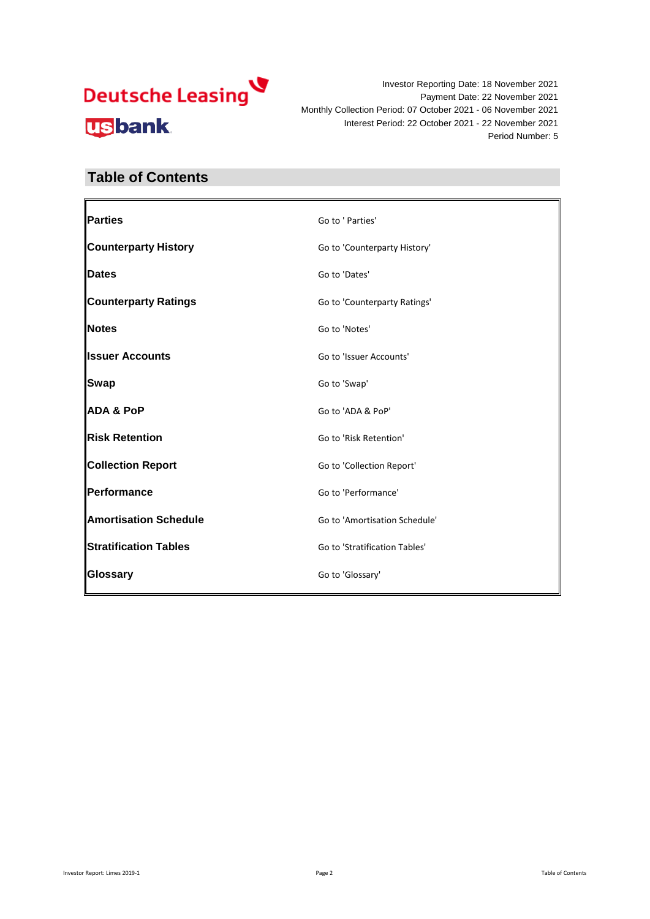Investor Reporting Date: 18 November 2021 Payment Date: 22 November 2021 Monthly Collection Period: 07 October 2021 - 06 November 2021 Interest Period: 22 October 2021 - 22 November 2021 Period Number: 5

## **Table of Contents**

| Parties                      | Go to ' Parties'              |
|------------------------------|-------------------------------|
| <b>Counterparty History</b>  | Go to 'Counterparty History'  |
| <b>Dates</b>                 | Go to 'Dates'                 |
| <b>Counterparty Ratings</b>  | Go to 'Counterparty Ratings'  |
| Notes                        | Go to 'Notes'                 |
| <b>Ilssuer Accounts</b>      | Go to 'Issuer Accounts'       |
| Swap                         | Go to 'Swap'                  |
| <b>ADA &amp; PoP</b>         | Go to 'ADA & PoP'             |
| Risk Retention               | Go to 'Risk Retention'        |
| <b>Collection Report</b>     | Go to 'Collection Report'     |
| Performance                  | Go to 'Performance'           |
| <b>Amortisation Schedule</b> | Go to 'Amortisation Schedule' |
| <b>Stratification Tables</b> | Go to 'Stratification Tables' |
| Glossary                     | Go to 'Glossary'              |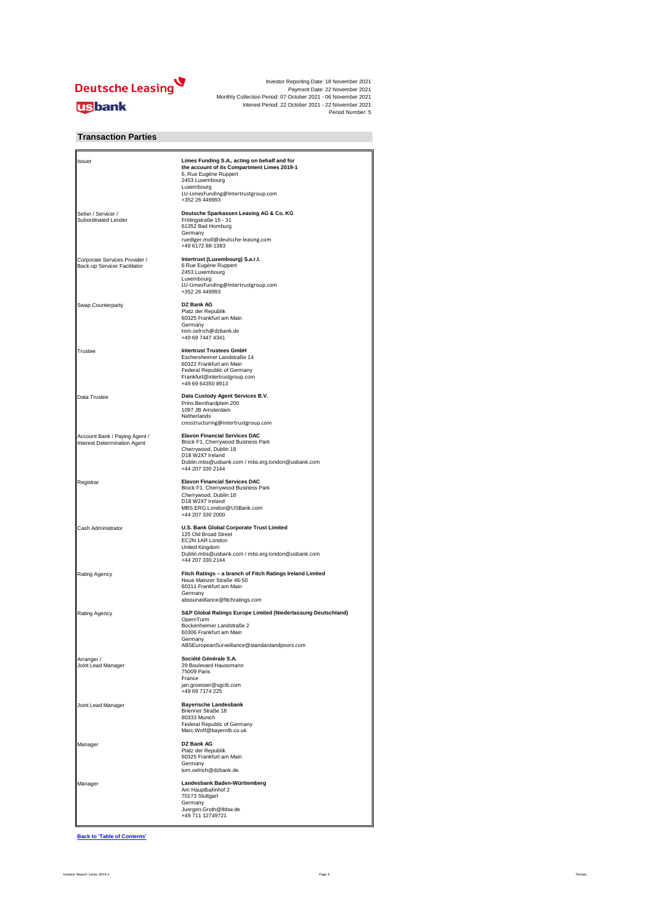

### **Transaction Parties**

| Issuer                                                        | Limes Funding S.A., acting on behalf and for<br>the account of its Compartment Limes 2019-1<br>6, Rue Eugène Ruppert<br>2453 Luxembourg<br>Luxembourg<br>LU-LimesFunding@Intertrustgroup.com<br>+352 26 449993 |
|---------------------------------------------------------------|----------------------------------------------------------------------------------------------------------------------------------------------------------------------------------------------------------------|
| Seller / Servicer /<br>Subordinated Lender                    | Deutsche Sparkassen Leasing AG & Co. KG<br>Frölingstraße 15 - 31<br>61352 Bad Homburg<br>Germany<br>ruediger.moll@deutsche-leasing.com<br>+49 6172 88-1383                                                     |
| Corporate Services Provider /<br>Back-up Servicer Facilitator | Intertrust (Luxembourg) S.a.r.l.<br>6 Rue Eugène Ruppert<br>2453 Luxembourg<br>Luxembourg<br>LU-LimesFunding@Intertrustgroup.com<br>+352 26 449993                                                             |
| Swap Counterparty                                             | DZ Bank AG<br>Platz der Republik<br>60325 Frankfurt am Main<br>Germany<br>tom.oelrich@dzbank.de<br>+49 69 7447 4341                                                                                            |
| Trustee                                                       | <b>Intertrust Trustees GmbH</b><br>Eschersheimer Landstraße 14<br>60322 Frankfurt am Main<br>Federal Republic of Germany<br>Frankfurt@intertrustgroup.com<br>+49 69 64350 8913                                 |
| Data Trustee                                                  | Data Custody Agent Services B.V.<br>Prins Bernhardplein 200<br>1097 JB Amsterdam<br>Netherlands<br>cmsstructuring@intertrustgroup.com                                                                          |
| Account Bank / Paying Agent /<br>Interest Determination Agent | <b>Elavon Financial Services DAC</b><br>Block F1, Cherrywood Business Park<br>Cherrywood, Dublin 18<br>D18 W2X7 Ireland<br>Dublin.mbs@usbank.com / mbs.erg.london@usbank.com<br>+44 207 330 2144               |
| Registrar                                                     | <b>Elavon Financial Services DAC</b><br>Block F1, Cherrywood Business Park<br>Cherrywood, Dublin 18<br>D18 W2X7 Ireland<br>MBS.ERG.London@USBank.com<br>+44 207 330 2000                                       |
| Cash Administrator                                            | U.S. Bank Global Corporate Trust Limited<br>125 Old Broad Street<br>EC2N 1AR London<br>United Kingdom<br>Dublin.mbs@usbank.com / mbs.erg.london@usbank.com<br>+44 207 330 2144                                 |
| Rating Agency                                                 | Fitch Ratings - a branch of Fitch Ratings Ireland Limited<br>Neue Mainzer Straße 46-50<br>60311 Frankfurt am Main<br>Germany<br>abssurveillance@fitchratings.com                                               |
| Rating Agency                                                 | S&P Global Ratings Europe Limited (Niederlassung Deutschland)<br>OpernTurm<br>Bockenheimer Landstraße 2<br>60306 Frankfurt am Main<br>Germany<br>ABSEuropeanSurveillance@standardandpoors.com                  |
| Arranger /<br>Joint Lead Manager                              | Société Générale S.A.<br>29 Boulevard Haussmann<br>75009 Paris<br>France<br>jan.groesser@sgcib.com<br>+49 69 7174 225                                                                                          |
| Joint Lead Manager                                            | <b>Bayerische Landesbank</b><br>Brienner Straße 18<br>80333 Munich<br>Federal Republic of Germany<br>Marc.Wolf@bayernlb.co.uk                                                                                  |
| Manager                                                       | DZ Bank AG<br>Platz der Republik<br>60325 Frankfurt am Main<br>Germany<br>tom.oelrich@dzbank.de                                                                                                                |
| Manager                                                       | Landesbank Baden-Württemberg<br>Am Hauptbahnhof 2<br>70173 Stuttgart<br>Germany<br>Juergen.Groth@lbbw.de<br>+49 711 12749721                                                                                   |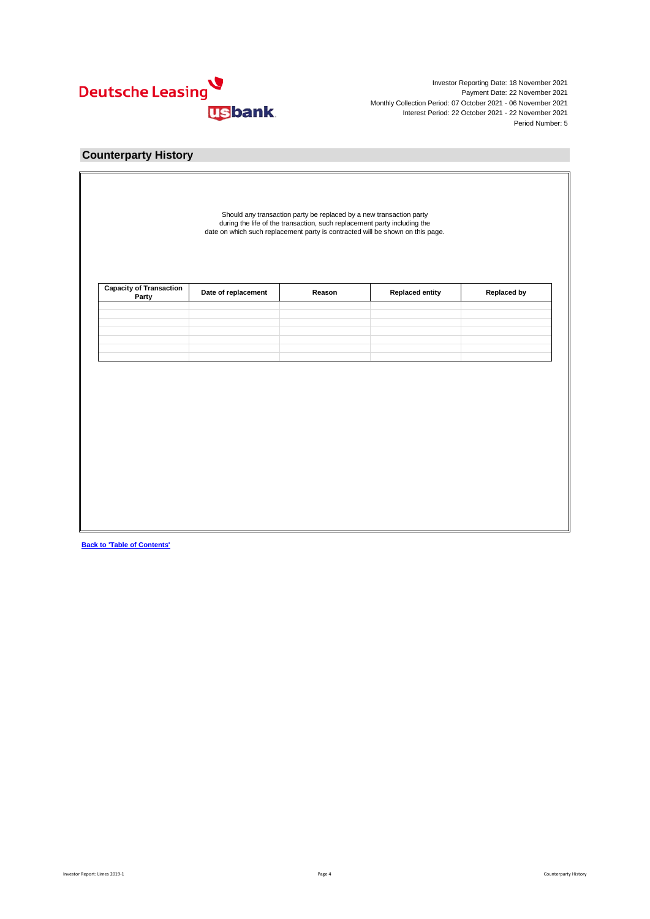

### **Counterparty History**

|  | Reason | Date of replacement | <b>Capacity of Transaction</b><br>Party |
|--|--------|---------------------|-----------------------------------------|
|  |        |                     |                                         |
|  |        |                     |                                         |
|  |        |                     |                                         |
|  |        |                     |                                         |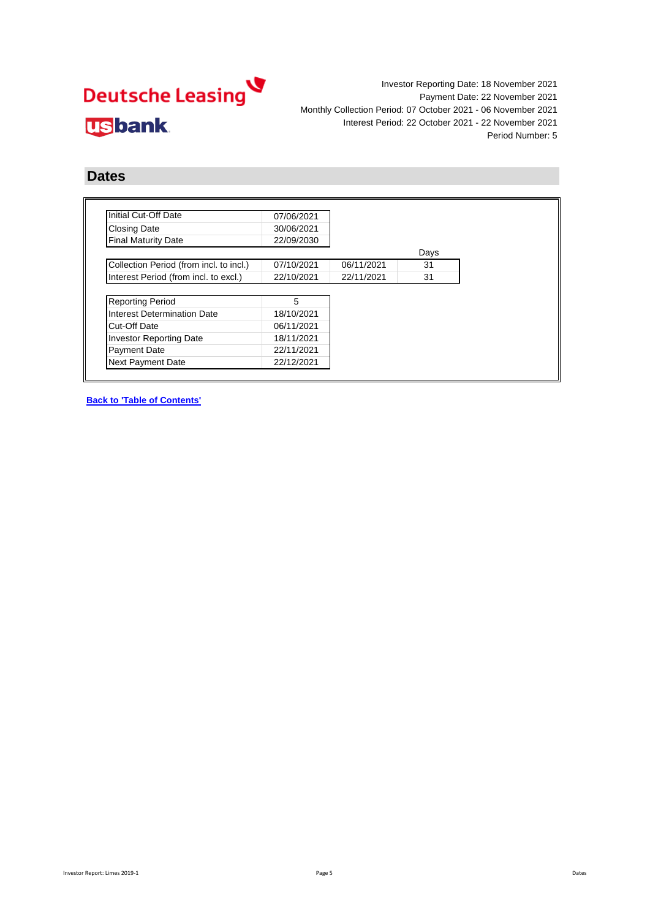

### **Dates**

| Initial Cut-Off Date                    | 07/06/2021 |            |      |
|-----------------------------------------|------------|------------|------|
| <b>Closing Date</b>                     | 30/06/2021 |            |      |
| <b>Final Maturity Date</b>              | 22/09/2030 |            |      |
|                                         |            |            | Days |
| Collection Period (from incl. to incl.) | 07/10/2021 | 06/11/2021 | 31   |
| Interest Period (from incl. to excl.)   | 22/10/2021 | 22/11/2021 | 31   |
|                                         |            |            |      |
| <b>Reporting Period</b>                 | 5          |            |      |
| Interest Determination Date             | 18/10/2021 |            |      |
| Cut-Off Date                            | 06/11/2021 |            |      |
| <b>Investor Reporting Date</b>          | 18/11/2021 |            |      |
| <b>Payment Date</b>                     | 22/11/2021 |            |      |
|                                         |            |            |      |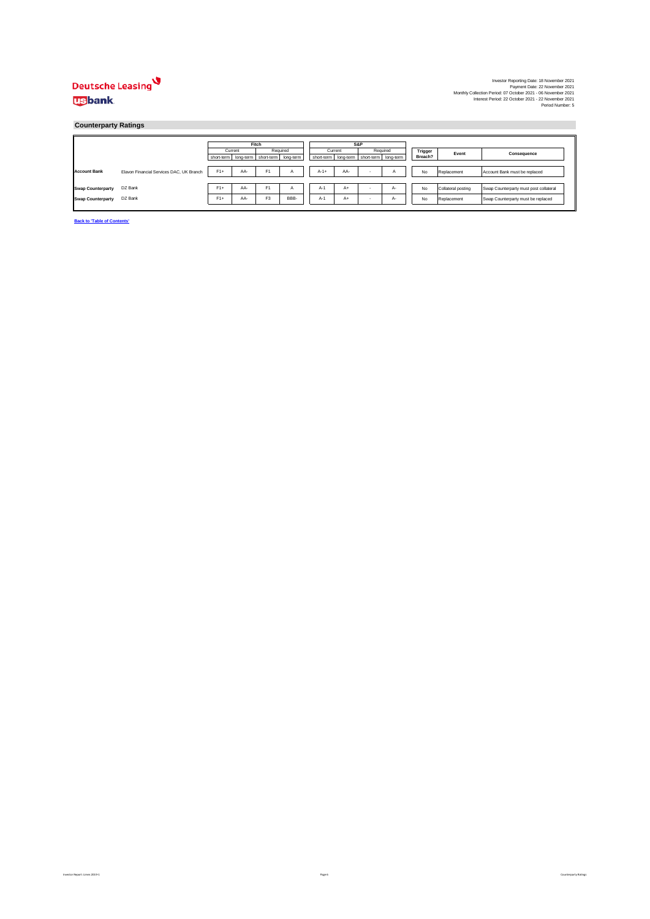### **Counterparty Ratings**

|                          |                                          |                                           | Fitch |                |              |         | S&P                                             |          |    |         |                    |                                        |
|--------------------------|------------------------------------------|-------------------------------------------|-------|----------------|--------------|---------|-------------------------------------------------|----------|----|---------|--------------------|----------------------------------------|
|                          |                                          | Current                                   |       | Required       |              | Current |                                                 | Required |    | Trigger | Event              | Consequence                            |
|                          |                                          | short-term long-term short-term long-term |       |                |              |         | short-term   long-term   short-term   long-term |          |    | Breach? |                    |                                        |
|                          |                                          |                                           |       |                |              |         |                                                 |          |    |         |                    |                                        |
| <b>Account Bank</b>      | Elavon Financial Services DAC, UK Branch | $F1+$                                     | AA-   | F <sub>1</sub> | $\mathsf{A}$ | $A-1+$  | AA-                                             |          |    | No      | Replacement        | Account Bank must be replaced          |
|                          |                                          |                                           |       |                |              |         |                                                 |          |    |         |                    |                                        |
| <b>Swap Counterparty</b> | DZ Bank                                  | $F1+$                                     | AA-   | F <sub>1</sub> | A            | $A-1$   | $A+$                                            |          | А- | No      | Collateral posting | Swap Counterparty must post collateral |
| <b>Swap Counterparty</b> | DZ Bank                                  | $F1+$                                     | AA-   | F <sub>3</sub> | BBB-         | $A-1$   | $A+$                                            |          | А- | No      | Replacement        | Swap Counterparty must be replaced     |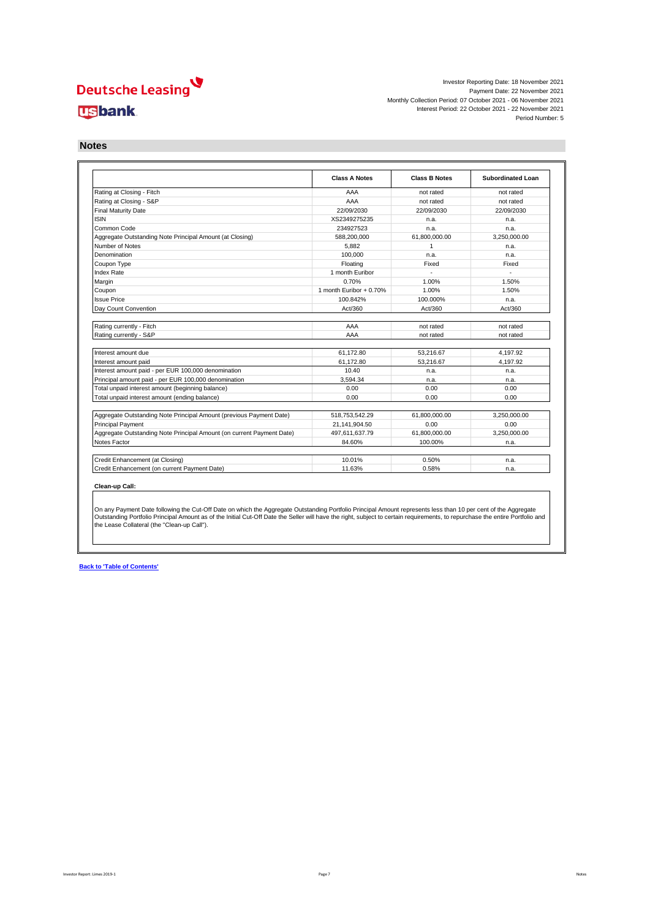Investor Reporting Date: 18 November 2021 Payment Date: 22 November 2021 Monthly Collection Period: 07 October 2021 - 06 November 2021 Interest Period: 22 October 2021 - 22 November 2021 Period Number: 5

**Notes**

|                                                                       | <b>Class A Notes</b>     | <b>Class B Notes</b> | Subordinated Loan |
|-----------------------------------------------------------------------|--------------------------|----------------------|-------------------|
| Rating at Closing - Fitch                                             | AAA                      | not rated            | not rated         |
| Rating at Closing - S&P                                               | AAA                      | not rated            | not rated         |
| <b>Final Maturity Date</b>                                            | 22/09/2030               | 22/09/2030           | 22/09/2030        |
| <b>ISIN</b>                                                           | XS2349275235             | n.a.                 | n.a.              |
| Common Code                                                           | 234927523                | n.a.                 | n.a.              |
| Aggregate Outstanding Note Principal Amount (at Closing)              | 588,200,000              | 61,800,000.00        | 3.250.000.00      |
| Number of Notes                                                       | 5.882                    | $\mathbf{1}$         | n.a.              |
| Denomination                                                          | 100.000                  | n.a.                 | n.a.              |
| Coupon Type                                                           | Floating                 | Fixed                | Fixed             |
| Index Rate                                                            | 1 month Euribor          |                      |                   |
| Margin                                                                | 0.70%                    | 1.00%                | 1.50%             |
| Coupon                                                                | 1 month Euribor $+0.70%$ | 1.00%                | 1.50%             |
| <b>Issue Price</b>                                                    | 100.842%                 | 100.000%             | n.a.              |
| Day Count Convention                                                  | Act/360                  | Act/360              | Act/360           |
|                                                                       |                          |                      |                   |
| Rating currently - Fitch                                              | AAA                      | not rated            | not rated         |
| Rating currently - S&P                                                | AAA                      | not rated            | not rated         |
| Interest amount due                                                   | 61.172.80                | 53.216.67            | 4.197.92          |
| Interest amount paid                                                  | 61.172.80                | 53.216.67            | 4.197.92          |
| Interest amount paid - per EUR 100,000 denomination                   | 10.40                    | n.a.                 | n.a.              |
| Principal amount paid - per EUR 100,000 denomination                  | 3.594.34                 | n.a.                 | n.a.              |
| Total unpaid interest amount (beginning balance)                      | 0.00                     | 0.00                 | 0.00              |
| Total unpaid interest amount (ending balance)                         | 0.00                     | 0.00                 | 0.00              |
|                                                                       |                          |                      |                   |
| Aggregate Outstanding Note Principal Amount (previous Payment Date)   | 518,753,542.29           | 61,800,000.00        | 3,250,000.00      |
| <b>Principal Payment</b>                                              | 21,141,904.50            | 0.00                 | 0.00              |
| Aggregate Outstanding Note Principal Amount (on current Payment Date) | 497,611,637.79           | 61,800,000.00        | 3,250,000.00      |
| Notes Factor                                                          | 84.60%                   | 100.00%              | n.a.              |
|                                                                       |                          |                      |                   |
| Credit Enhancement (at Closing)                                       | 10.01%                   | 0.50%                | n.a.              |
| Credit Enhancement (on current Payment Date)                          | 11.63%                   | 0.58%                | n.a.              |

On any Payment Date following the Cut-Off Date on which the Aggregate Outstanding Portfolio Principal Amount represents less than 10 per cent of the Aggregate<br>Outstanding Portfolio Principal Amount as of the Initial Cut-O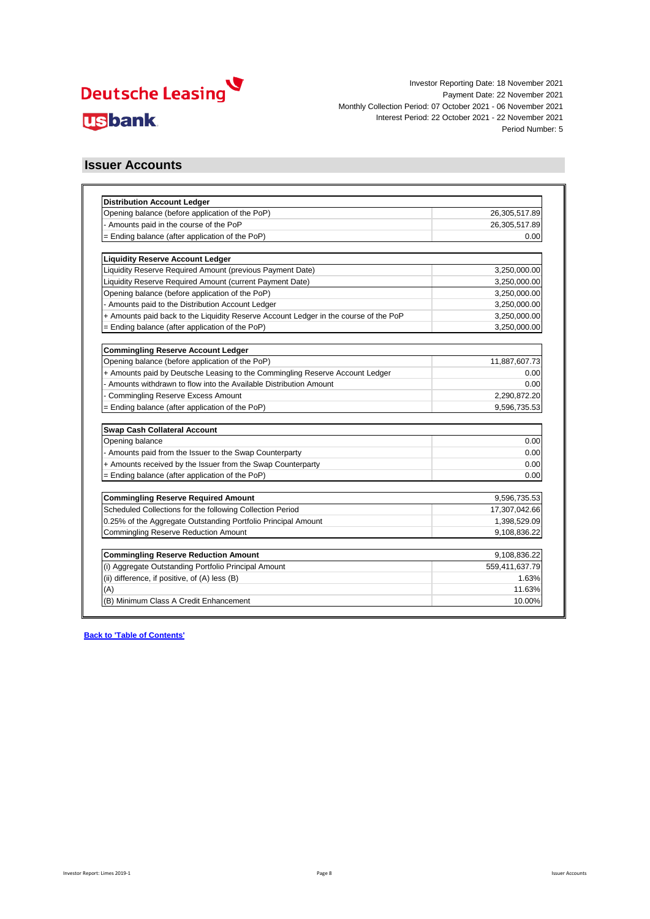

### **Issuer Accounts**

| <b>Distribution Account Ledger</b>                                                   |                |
|--------------------------------------------------------------------------------------|----------------|
| Opening balance (before application of the PoP)                                      | 26,305,517.89  |
| - Amounts paid in the course of the PoP                                              | 26,305,517.89  |
| = Ending balance (after application of the PoP)                                      | 0.00           |
| <b>Liquidity Reserve Account Ledger</b>                                              |                |
| Liquidity Reserve Required Amount (previous Payment Date)                            | 3,250,000.00   |
| Liquidity Reserve Required Amount (current Payment Date)                             | 3,250,000.00   |
| Opening balance (before application of the PoP)                                      | 3,250,000.00   |
| - Amounts paid to the Distribution Account Ledger                                    | 3,250,000.00   |
| + Amounts paid back to the Liquidity Reserve Account Ledger in the course of the PoP | 3,250,000.00   |
| = Ending balance (after application of the PoP)                                      | 3,250,000.00   |
|                                                                                      |                |
| <b>Commingling Reserve Account Ledger</b>                                            |                |
| Opening balance (before application of the PoP)                                      | 11,887,607.73  |
| + Amounts paid by Deutsche Leasing to the Commingling Reserve Account Ledger         | 0.00           |
| - Amounts withdrawn to flow into the Available Distribution Amount                   | 0.00           |
| <b>Commingling Reserve Excess Amount</b>                                             | 2,290,872.20   |
| = Ending balance (after application of the PoP)                                      | 9,596,735.53   |
| <b>Swap Cash Collateral Account</b>                                                  |                |
| Opening balance                                                                      | 0.00           |
| - Amounts paid from the Issuer to the Swap Counterparty                              | 0.00           |
| + Amounts received by the Issuer from the Swap Counterparty                          | 0.00           |
| = Ending balance (after application of the PoP)                                      | 0.00           |
|                                                                                      |                |
| <b>Commingling Reserve Required Amount</b>                                           | 9,596,735.53   |
| Scheduled Collections for the following Collection Period                            | 17,307,042.66  |
| 0.25% of the Aggregate Outstanding Portfolio Principal Amount                        | 1,398,529.09   |
| <b>Commingling Reserve Reduction Amount</b>                                          | 9,108,836.22   |
| <b>Commingling Reserve Reduction Amount</b>                                          | 9,108,836.22   |
| (i) Aggregate Outstanding Portfolio Principal Amount                                 | 559,411,637.79 |
| (ii) difference, if positive, of (A) less (B)                                        | 1.63%          |
| (A)                                                                                  | 11.63%         |
| (B) Minimum Class A Credit Enhancement                                               | 10.00%         |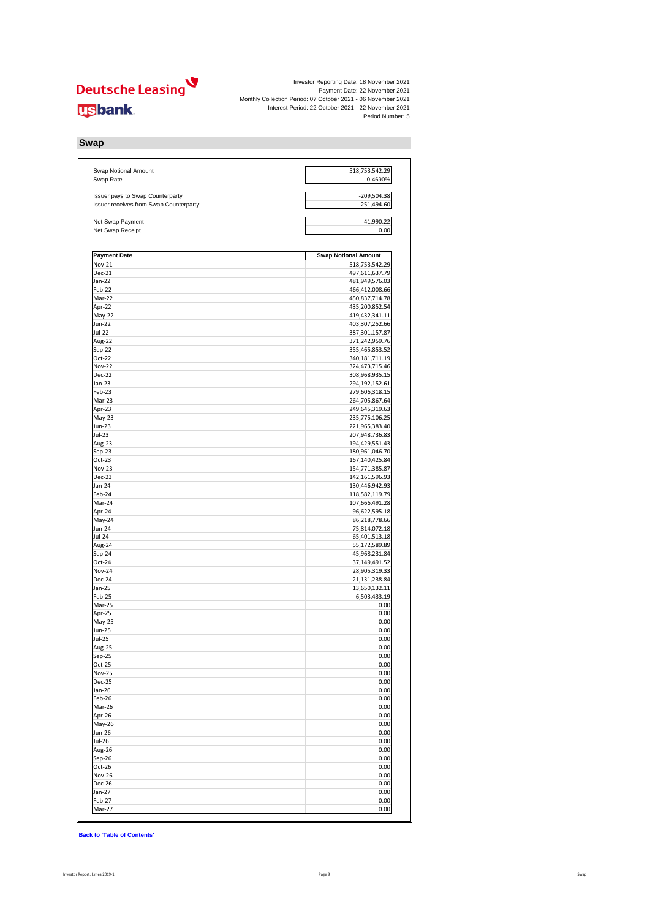

**Swap**

| Swap Notional Amount                   | 518,753,542.29                   |
|----------------------------------------|----------------------------------|
| Swap Rate                              | $-0.4690%$                       |
| Issuer pays to Swap Counterparty       | $-209,504.38$                    |
| Issuer receives from Swap Counterparty | $-251,494.60$                    |
| Net Swap Payment                       | 41,990.22                        |
| Net Swap Receipt                       | 0.00                             |
| <b>Payment Date</b>                    | <b>Swap Notional Amount</b>      |
| Nov-21                                 | 518,753,542.29                   |
| Dec-21                                 | 497,611,637.79                   |
| Jan-22                                 | 481,949,576.03                   |
| Feb-22<br>Mar-22                       | 466,412,008.66<br>450,837,714.78 |
| Apr-22                                 | 435,200,852.54                   |
| May-22                                 | 419,432,341.11                   |
| <b>Jun-22</b>                          | 403,307,252.66                   |
| Jul-22                                 | 387, 301, 157.87                 |
| Aug-22                                 | 371,242,959.76                   |
| Sep-22                                 | 355,465,853.52                   |
| Oct-22<br><b>Nov-22</b>                | 340,181,711.19<br>324,473,715.46 |
| <b>Dec-22</b>                          | 308,968,935.15                   |
| Jan-23                                 | 294,192,152.61                   |
| Feb-23                                 | 279,606,318.15                   |
| Mar-23                                 | 264,705,867.64                   |
| Apr-23                                 | 249,645,319.63                   |
| May-23                                 | 235,775,106.25                   |
| Jun-23<br>Jul-23                       | 221,965,383.40                   |
| Aug-23                                 | 207,948,736.83<br>194,429,551.43 |
| $Sep-23$                               | 180,961,046.70                   |
| $Oct-23$                               | 167,140,425.84                   |
| <b>Nov-23</b>                          | 154,771,385.87                   |
| Dec-23                                 | 142,161,596.93                   |
| Jan-24                                 | 130,446,942.93                   |
| Feb-24                                 | 118,582,119.79                   |
| Mar-24                                 | 107,666,491.28                   |
| Apr-24<br>May-24                       | 96,622,595.18<br>86,218,778.66   |
| Jun-24                                 | 75,814,072.18                    |
| Jul-24                                 | 65,401,513.18                    |
| Aug-24                                 | 55,172,589.89                    |
| Sep-24                                 | 45,968,231.84                    |
| Oct-24                                 | 37,149,491.52                    |
| <b>Nov-24</b>                          | 28,905,319.33                    |
| Dec-24<br>Jan-25                       | 21,131,238.84<br>13,650,132.11   |
| Feb-25                                 | 6,503,433.19                     |
| Mar-25                                 | 0.00                             |
| Apr-25                                 | 0.00                             |
| May-25                                 | 0.00                             |
| Jun-25                                 | 0.00                             |
| Jul-25                                 | 0.00                             |
| Aug-25<br>Sep-25                       | 0.00<br>0.00                     |
| $Oct-25$                               | 0.00                             |
| <b>Nov-25</b>                          | 0.00                             |
| <b>Dec-25</b>                          | 0.00                             |
| $Jan-26$                               | 0.00                             |
| Feb-26                                 | 0.00                             |
| Mar-26                                 | 0.00                             |
| Apr-26                                 | 0.00                             |
| May-26<br>Jun-26                       | 0.00<br>0.00                     |
| Jul-26                                 | 0.00                             |
| Aug-26                                 | 0.00                             |
| $Sep-26$                               | 0.00                             |
| Oct-26                                 | 0.00                             |
|                                        |                                  |
| <b>Nov-26</b>                          | 0.00                             |
| Dec-26                                 | 0.00                             |
| $Jan-27$<br>Feb-27                     | 0.00<br>0.00                     |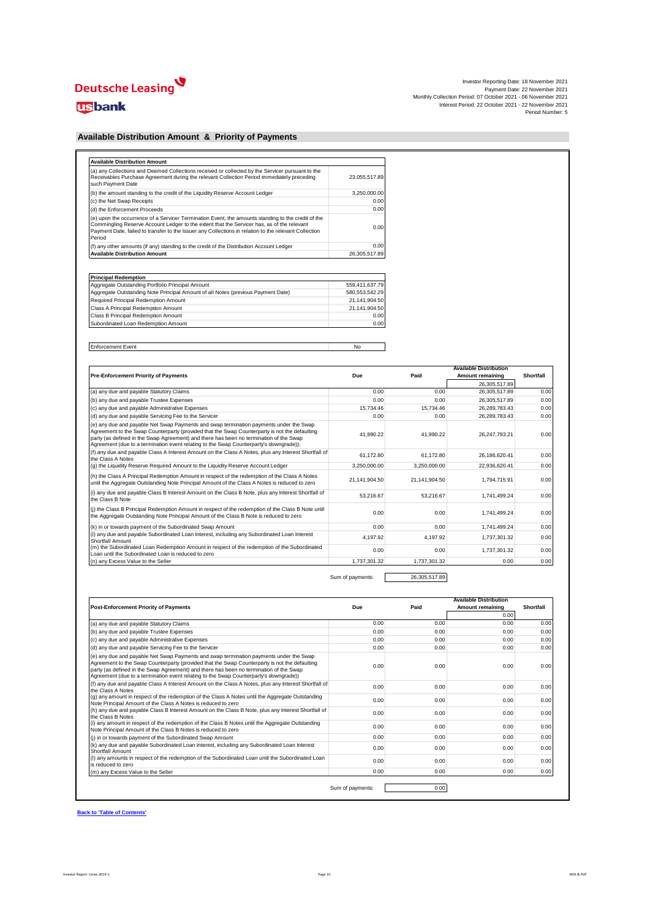# Deutsche Leasing

## **usbank**

| Investor Reporting Date: 18 November 2021                     |
|---------------------------------------------------------------|
| Payment Date: 22 November 2021                                |
| Monthly Collection Period: 07 October 2021 - 06 November 2021 |
| Interest Period: 22 October 2021 - 22 November 2021           |
| Period Number: 5                                              |

### **Available Distribution Amount & Priority of Payments**

| (a) any Collections and Deemed Collections received or collected by the Servicer pursuant to the<br>Receivables Purchase Agreement during the relevant Collection Period immediately preceding<br>such Payment Date                                                                                                 | 23.055.517.89 |
|---------------------------------------------------------------------------------------------------------------------------------------------------------------------------------------------------------------------------------------------------------------------------------------------------------------------|---------------|
| (b) the amount standing to the credit of the Liquidity Reserve Account Ledger                                                                                                                                                                                                                                       | 3.250.000.00  |
| (c) the Net Swap Receipts                                                                                                                                                                                                                                                                                           | 0.00          |
| (d) the Enforcement Proceeds                                                                                                                                                                                                                                                                                        | 0.00          |
| (e) upon the occurrence of a Servicer Termination Event, the amounts standing to the credit of the<br>Commingling Reserve Account Ledger to the extent that the Servicer has, as of the relevant<br>Payment Date, failed to transfer to the Issuer any Collections in relation to the relevant Collection<br>Period | 0.00          |
| (f) any other amounts (if any) standing to the credit of the Distribution Account Ledger                                                                                                                                                                                                                            | 0.00          |
| <b>Available Distribution Amount</b>                                                                                                                                                                                                                                                                                | 26.305.517.89 |

| <b>Principal Redemption</b>                                                      |                |  |  |  |  |  |  |
|----------------------------------------------------------------------------------|----------------|--|--|--|--|--|--|
| Aggregate Outstanding Portfolio Principal Amount                                 | 559.411.637.79 |  |  |  |  |  |  |
| Aggregate Outstanding Note Principal Amount of all Notes (previous Payment Date) | 580.553.542.29 |  |  |  |  |  |  |
| Required Principal Redemption Amount                                             | 21.141.904.50  |  |  |  |  |  |  |
| Class A Principal Redemption Amount                                              | 21.141.904.50  |  |  |  |  |  |  |
| Class B Principal Redemption Amount                                              | 0.00           |  |  |  |  |  |  |
| Subordinated Loan Redemption Amount                                              | 0.00           |  |  |  |  |  |  |

Enforcement Event No

| <b>Pre-Enforcement Priority of Payments</b>                                                                                                                                                                                                                                                                                                                                 | Due           | Paid          | <b>Available Distribution</b><br>Amount remaining | Shortfall |
|-----------------------------------------------------------------------------------------------------------------------------------------------------------------------------------------------------------------------------------------------------------------------------------------------------------------------------------------------------------------------------|---------------|---------------|---------------------------------------------------|-----------|
|                                                                                                                                                                                                                                                                                                                                                                             |               |               | 26.305.517.89                                     |           |
| (a) any due and payable Statutory Claims                                                                                                                                                                                                                                                                                                                                    | 0.00          | 0.00          | 26,305,517.89                                     | 0.00      |
| (b) any due and payable Trustee Expenses                                                                                                                                                                                                                                                                                                                                    | 0.00          | 0.00          | 26,305,517.89                                     | 0.00      |
| (c) any due and payable Administrative Expenses                                                                                                                                                                                                                                                                                                                             | 15.734.46     | 15.734.46     | 26,289,783.43                                     | 0.00      |
| (d) any due and payable Servicing Fee to the Servicer                                                                                                                                                                                                                                                                                                                       | 0.00          | 0.00          | 26.289.783.43                                     | 0.00      |
| (e) any due and payable Net Swap Payments and swap termination payments under the Swap<br>Agreement to the Swap Counterparty (provided that the Swap Counterparty is not the defaulting<br>party (as defined in the Swap Agreement) and there has been no termination of the Swap<br>Agreement (due to a termination event relating to the Swap Counterparty's downgrade)); | 41.990.22     | 41.990.22     | 26,247,793.21                                     | 0.00      |
| (f) any due and payable Class A Interest Amount on the Class A Notes, plus any Interest Shortfall of<br>the Class A Notes                                                                                                                                                                                                                                                   | 61.172.80     | 61.172.80     | 26,186,620.41                                     | 0.00      |
| (q) the Liquidity Reserve Required Amount to the Liquidity Reserve Account Ledger                                                                                                                                                                                                                                                                                           | 3.250.000.00  | 3.250.000.00  | 22.936.620.41                                     | 0.00      |
| (h) the Class A Principal Redemption Amount in respect of the redemption of the Class A Notes<br>until the Aggregate Outstanding Note Principal Amount of the Class A Notes is reduced to zero                                                                                                                                                                              | 21.141.904.50 | 21.141.904.50 | 1,794,715.91                                      | 0.00      |
| (i) any due and payable Class B Interest Amount on the Class B Note, plus any Interest Shortfall of<br>the Class B Note                                                                                                                                                                                                                                                     | 53.216.67     | 53.216.67     | 1,741,499.24                                      | 0.00      |
| (i) the Class B Principal Redemption Amount in respect of the redemption of the Class B Note until<br>the Aggregate Outstanding Note Principal Amount of the Class B Note is reduced to zero                                                                                                                                                                                | 0.00          | 0.00          | 1,741,499.24                                      | 0.00      |
| (k) in or towards payment of the Subordinated Swap Amount                                                                                                                                                                                                                                                                                                                   | 0.00          | 0.00          | 1.741.499.24                                      | 0.00      |
| (I) any due and payable Subordinated Loan Interest, including any Subordinated Loan Interest<br>Shortfall Amount                                                                                                                                                                                                                                                            | 4.197.92      | 4.197.92      | 1,737,301.32                                      | 0.00      |
| (m) the Subordinated Loan Redemption Amount in respect of the redemption of the Subordinated<br>Loan until the Subordinated Loan is reduced to zero                                                                                                                                                                                                                         | 0.00          | 0.00          | 1,737,301.32                                      | 0.00      |
| (n) any Excess Value to the Seller                                                                                                                                                                                                                                                                                                                                          | 1.737.301.32  | 1.737.301.32  | 0.00                                              | 0.00      |

Sum of payments: 26,305,517.89

| <b>Post-Enforcement Priority of Payments</b>                                                                                                                                                                                                                                                                                                                               | Due  | Paid | <b>Available Distribution</b><br>Amount remaining | <b>Shortfall</b> |
|----------------------------------------------------------------------------------------------------------------------------------------------------------------------------------------------------------------------------------------------------------------------------------------------------------------------------------------------------------------------------|------|------|---------------------------------------------------|------------------|
|                                                                                                                                                                                                                                                                                                                                                                            |      |      | 0.00                                              |                  |
| (a) any due and payable Statutory Claims                                                                                                                                                                                                                                                                                                                                   | 0.00 | 0.00 | 0.00                                              | 0.00             |
| (b) any due and payable Trustee Expenses                                                                                                                                                                                                                                                                                                                                   | 0.00 | 0.00 | 0.00                                              | 0.00             |
| (c) any due and payable Administrative Expenses                                                                                                                                                                                                                                                                                                                            | 0.00 | 0.00 | 0.00                                              | 0.00             |
| (d) any due and payable Servicing Fee to the Servicer                                                                                                                                                                                                                                                                                                                      | 0.00 | 0.00 | 0.00                                              | 0.00             |
| (e) any due and payable Net Swap Payments and swap termination payments under the Swap<br>Agreement to the Swap Counterparty (provided that the Swap Counterparty is not the defaulting<br>party (as defined in the Swap Agreement) and there has been no termination of the Swap<br>Agreement (due to a termination event relating to the Swap Counterparty's downgrade)) | 0.00 | 0.00 | 0.00                                              | 0.00             |
| (f) any due and payable Class A Interest Amount on the Class A Notes, plus any Interest Shortfall of<br>the Class A Notes                                                                                                                                                                                                                                                  | 0.00 | 0.00 | 0.00                                              | 0.00             |
| (g) any amount in respect of the redemption of the Class A Notes until the Aggregate Outstanding<br>Note Principal Amount of the Class A Notes is reduced to zero                                                                                                                                                                                                          | 0.00 | 0.00 | 0.00                                              | 0.00             |
| (h) any due and payable Class B Interest Amount on the Class B Note, plus any Interest Shortfall of<br>the Class B Notes                                                                                                                                                                                                                                                   | 0.00 | 0.00 | 0.00                                              | 0.00             |
| (i) any amount in respect of the redemption of the Class B Notes until the Aggregate Outstanding<br>Note Principal Amount of the Class B Notes is reduced to zero                                                                                                                                                                                                          | 0.00 | 0.00 | 0.00                                              | 0.00             |
| (i) in or towards payment of the Subordinated Swap Amount                                                                                                                                                                                                                                                                                                                  | 0.00 | 0.00 | 0.00                                              | 0.00             |
| (k) any due and payable Subordinated Loan Interest, including any Subordinated Loan Interest<br>Shortfall Amount                                                                                                                                                                                                                                                           | 0.00 | 0.00 | 0.00                                              | 0.00             |
| (I) any amounts in respect of the redemption of the Subordinated Loan until the Subordinated Loan<br>is reduced to zero.                                                                                                                                                                                                                                                   | 0.00 | 0.00 | 0.00                                              | 0.00             |
| (m) any Excess Value to the Seller                                                                                                                                                                                                                                                                                                                                         | 0.00 | 0.00 | 0.00                                              | 0.00             |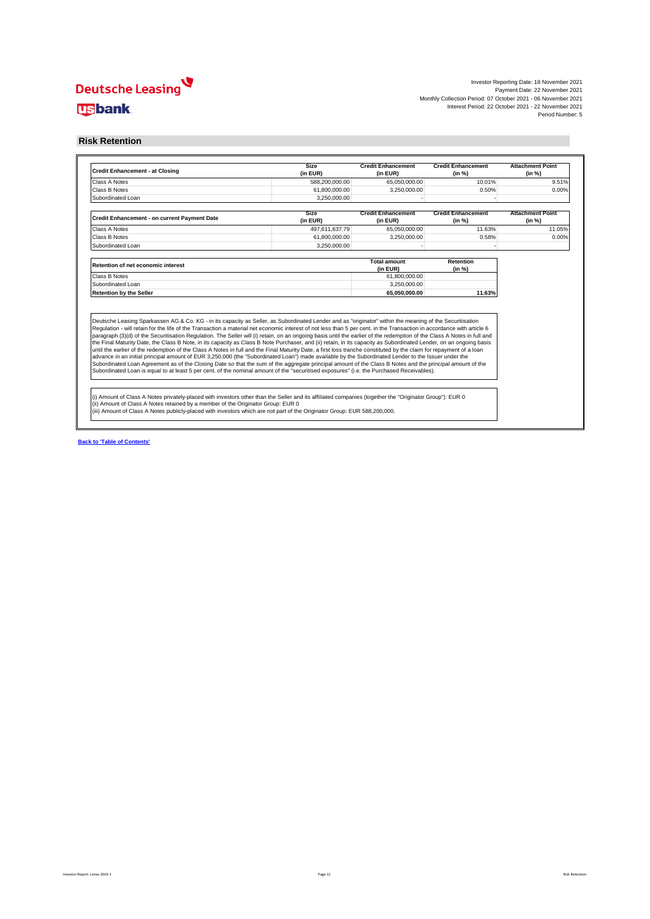Investor Reporting Date: 18 November 2021 Payment Date: 22 November 2021 Monthly Collection Period: 07 October 2021 - 06 November 2021 Interest Period: 22 October 2021 - 22 November 2021 Period Number: 5

### **Risk Retention**

| <b>Credit Enhancement - at Closing</b>                                                                                                                                                                                                                                                                                                                                                                                                                                                                                                                                                                                                                                                                                                                                                                     | <b>Size</b><br>(in EUR) | <b>Credit Enhancement</b><br>(in EUR) | <b>Credit Enhancement</b><br>(in %) | <b>Attachment Point</b><br>(in %) |
|------------------------------------------------------------------------------------------------------------------------------------------------------------------------------------------------------------------------------------------------------------------------------------------------------------------------------------------------------------------------------------------------------------------------------------------------------------------------------------------------------------------------------------------------------------------------------------------------------------------------------------------------------------------------------------------------------------------------------------------------------------------------------------------------------------|-------------------------|---------------------------------------|-------------------------------------|-----------------------------------|
| Class A Notes                                                                                                                                                                                                                                                                                                                                                                                                                                                                                                                                                                                                                                                                                                                                                                                              | 588,200,000.00          | 65,050,000.00                         | 10.01%                              | 9.51%                             |
| Class B Notes                                                                                                                                                                                                                                                                                                                                                                                                                                                                                                                                                                                                                                                                                                                                                                                              | 61,800,000.00           | 3.250.000.00                          | 0.50%                               | 0.00%                             |
| Subordinated Loan                                                                                                                                                                                                                                                                                                                                                                                                                                                                                                                                                                                                                                                                                                                                                                                          | 3.250.000.00            |                                       |                                     |                                   |
| Credit Enhancement - on current Payment Date                                                                                                                                                                                                                                                                                                                                                                                                                                                                                                                                                                                                                                                                                                                                                               | Size<br>(in EUR)        | <b>Credit Enhancement</b><br>(in EUR) | <b>Credit Enhancement</b><br>(in %) | <b>Attachment Point</b><br>(in %) |
| Class A Notes                                                                                                                                                                                                                                                                                                                                                                                                                                                                                                                                                                                                                                                                                                                                                                                              | 497.611.637.79          | 65,050,000.00                         | 11.63%                              | 11.05%                            |
| Class B Notes                                                                                                                                                                                                                                                                                                                                                                                                                                                                                                                                                                                                                                                                                                                                                                                              | 61,800,000.00           | 3,250,000.00                          | 0.58%                               | 0.00%                             |
| Subordinated Loan                                                                                                                                                                                                                                                                                                                                                                                                                                                                                                                                                                                                                                                                                                                                                                                          | 3.250.000.00            |                                       |                                     |                                   |
| Retention of net economic interest                                                                                                                                                                                                                                                                                                                                                                                                                                                                                                                                                                                                                                                                                                                                                                         |                         | <b>Total amount</b><br>(in EUR)       | Retention<br>(in %)                 |                                   |
| Class B Notes                                                                                                                                                                                                                                                                                                                                                                                                                                                                                                                                                                                                                                                                                                                                                                                              |                         | 61,800,000.00                         |                                     |                                   |
| Subordinated Loan                                                                                                                                                                                                                                                                                                                                                                                                                                                                                                                                                                                                                                                                                                                                                                                          |                         | 3.250.000.00                          |                                     |                                   |
| <b>Retention by the Seller</b>                                                                                                                                                                                                                                                                                                                                                                                                                                                                                                                                                                                                                                                                                                                                                                             |                         | 65.050.000.00                         | 11.63%                              |                                   |
| Deutsche Leasing Sparkassen AG & Co. KG - in its capacity as Seller, as Subordinated Lender and as "originator" within the meaning of the Securitisation<br>Regulation - will retain for the life of the Transaction a material net economic interest of not less than 5 per cent. in the Transaction in accordance with article 6<br>paragraph (3)(d) of the Securitisation Regulation. The Seller will (i) retain, on an ongoing basis until the earlier of the redemption of the Class A Notes in full and                                                                                                                                                                                                                                                                                              |                         |                                       |                                     |                                   |
| the Final Maturity Date, the Class B Note, in its capacity as Class B Note Purchaser, and (ii) retain, in its capacity as Subordinated Lender, on an ongoing basis<br>until the earlier of the redemption of the Class A Notes in full and the Final Maturity Date, a first loss tranche constituted by the claim for repayment of a loan<br>advance in an initial principal amount of EUR 3,250,000 (the "Subordinated Loan") made available by the Subordinated Lender to the Issuer under the<br>Subordinated Loan Agreement as of the Closing Date so that the sum of the aggregate principal amount of the Class B Notes and the principal amount of the<br>Subordinated Loan is equal to at least 5 per cent. of the nominal amount of the "securitised exposures" (i.e. the Purchased Receivables). |                         |                                       |                                     |                                   |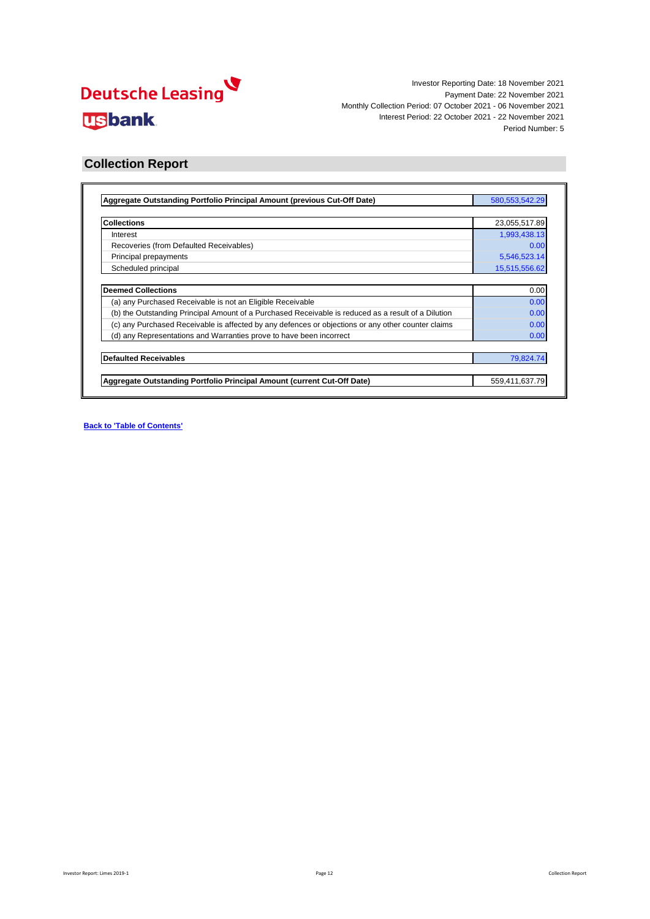

### **Collection Report**

| Aggregate Outstanding Portfolio Principal Amount (previous Cut-Off Date)                            | 580, 553, 542. 29 |
|-----------------------------------------------------------------------------------------------------|-------------------|
|                                                                                                     |                   |
| <b>Collections</b>                                                                                  | 23,055,517.89     |
| Interest                                                                                            | 1,993,438.13      |
| Recoveries (from Defaulted Receivables)                                                             | 0.00              |
| Principal prepayments                                                                               | 5,546,523.14      |
| Scheduled principal                                                                                 | 15,515,556.62     |
|                                                                                                     |                   |
| <b>Deemed Collections</b>                                                                           | 0.00              |
| (a) any Purchased Receivable is not an Eligible Receivable                                          | 0.00              |
| (b) the Outstanding Principal Amount of a Purchased Receivable is reduced as a result of a Dilution | 0.00              |
| (c) any Purchased Receivable is affected by any defences or objections or any other counter claims  | 0.00              |
| (d) any Representations and Warranties prove to have been incorrect                                 | 0.00              |
| <b>Defaulted Receivables</b>                                                                        | 79,824.74         |
|                                                                                                     |                   |
| Aggregate Outstanding Portfolio Principal Amount (current Cut-Off Date)                             | 559,411,637.79    |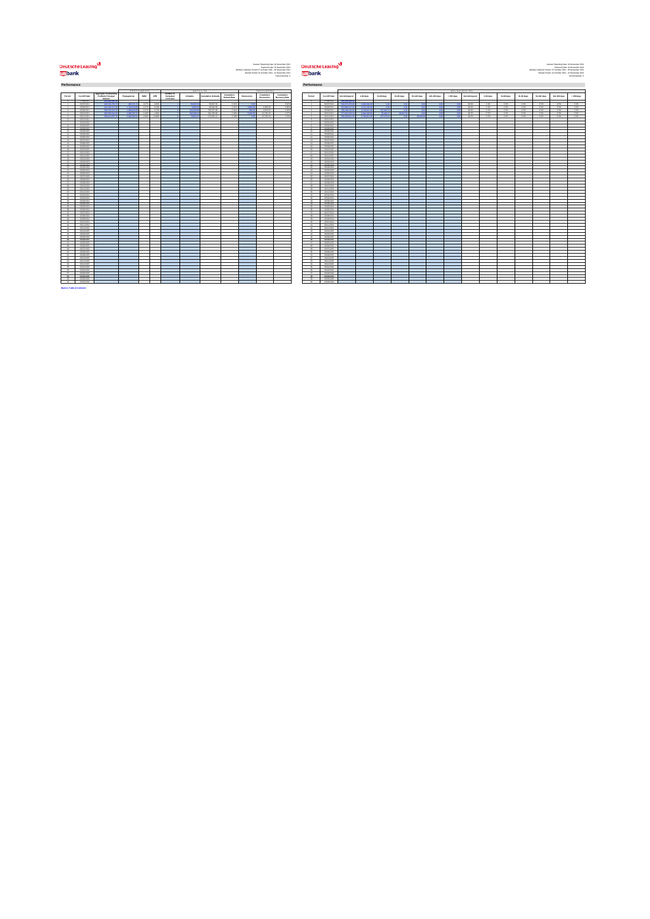# <mark>V</mark><br>الاتصاد السلطان<br>المسلم

Investor Reporting Date: 18 November 2021 Investor Reporting Date: 18 November 2021 Payment Date: 22 November 2021 Payment Date: 22 November 2021 Monthly Collection Period: 07 October 2021 - 06 November 2021 Monthly Collection Period: 07 October 2021 - 06 November 2021 Interest Period: 22 October 2021 - 22 November 2021 Interest Period: 22 October 2021 - 22 November 2021 Period Number: 5 Period Number: 5

|                                         |                               |                                              | PREPAYMENTS<br>DEFAULTS<br>RECOVERIES |               |              |                                                                        |                 |                            |                                    |                   |                          |                              |                                   |                          |  |  |  |  |
|-----------------------------------------|-------------------------------|----------------------------------------------|---------------------------------------|---------------|--------------|------------------------------------------------------------------------|-----------------|----------------------------|------------------------------------|-------------------|--------------------------|------------------------------|-----------------------------------|--------------------------|--|--|--|--|
| Period                                  | Cut-Off Date                  | Appregate Outstanding<br>Portfolio Principal | Progayments                           | SMM           | CPR.         | Number of<br>Defaulted<br><b><i><u><u><b>CONTRACTS</b></u></u></i></b> | <b>Detaults</b> | <b>Cumulative Defaults</b> | Cursulative<br><b>Default Rate</b> | <b>Recoveries</b> | Cumulative<br>Recoveries | Cursulative<br>Recovery Rate | Period                            | Cus-Off Day              |  |  |  |  |
| ×                                       | 07/06/2021                    | <b>CAR AND AND I</b><br>an an Xa X           |                                       |               |              |                                                                        | <b>CEANNA</b>   |                            | Adele                              |                   |                          |                              | ń<br>٠                            | 07/06/202                |  |  |  |  |
| $\mathbf{r}$                            | 06/07/2021<br>06/08/2021      | 616.158.377.56                               | 9037212<br>1,222,5241                 | 0.07<br>0.27% | oam<br>3.23% |                                                                        | \$263.2         | \$6,697.09<br>66,080.29    | didn's                             | 3,693.5           | 3,869.58                 | 0.009<br>5.80%               | $\mathbf{z}$                      | 06/07/202<br>06/08/202   |  |  |  |  |
| $\mathbf{a}$                            | 06/09/2021                    | 598,760,576,76                               | 1,093,925.92                          | 0.27          | 3,159        |                                                                        | 164,626.95      | 230,707.28                 | opes                               | son's             | 4,822.87                 | 2,099                        | $\lambda$                         | 06/09/202                |  |  |  |  |
| $\overline{a}$                          | 06/10/2021                    | <b>CAR CCV CAT IN</b>                        | 2,396,5727                            | 0.40          | 4,691        |                                                                        | <b>SALARA A</b> | 491.006.08                 | open                               | conc              | 10.165.43                | 2.079                        | $\delta$                          | 06/10/202                |  |  |  |  |
| s                                       | 06/11/2021                    | \$59,415,637.76                              | \$546.523.16                          | 0.96%         | 10,899       |                                                                        | 79.924.74       | 570,831.12                 | O.DRS                              | 00 <sup>o</sup>   | 10.165.43                | 1,79%                        | $\epsilon$                        | 09/11/202                |  |  |  |  |
|                                         | 06/12/2021                    |                                              |                                       |               |              |                                                                        |                 |                            |                                    |                   |                          |                              |                                   | 09/12/2022               |  |  |  |  |
|                                         | 06/01/2022                    |                                              |                                       |               |              |                                                                        |                 |                            |                                    |                   |                          |                              |                                   | 06/01/202                |  |  |  |  |
| $\mathbf{r}$                            | 06/02/2022                    |                                              |                                       |               |              |                                                                        |                 |                            |                                    |                   |                          |                              | $\mathbf{R}$                      | 06/02/202                |  |  |  |  |
| ٠                                       | numeros                       |                                              |                                       |               |              |                                                                        |                 |                            |                                    |                   |                          |                              |                                   | numero                   |  |  |  |  |
| 10<br>$\overline{a}$                    | 06/062022<br><b>NAMARING</b>  |                                              |                                       |               |              |                                                                        |                 |                            |                                    |                   |                          |                              | $50 -$<br>$\overline{\mathbf{H}}$ | 06/04/202<br>06/05/202   |  |  |  |  |
| 12                                      | 06/06/2022                    |                                              |                                       |               |              |                                                                        |                 |                            |                                    |                   |                          |                              | $^{12}$                           | 06/06/202                |  |  |  |  |
| 13                                      | ourchass2                     |                                              |                                       |               |              |                                                                        |                 |                            |                                    |                   |                          |                              | 13                                | 06/07/202                |  |  |  |  |
| <b>KA</b>                               | nemerance.                    |                                              |                                       |               |              |                                                                        |                 |                            |                                    |                   |                          |                              | <b>SA</b>                         | 06/08/202                |  |  |  |  |
| œ                                       | numeroso                      |                                              |                                       |               |              |                                                                        |                 |                            |                                    |                   |                          |                              | k6                                | 06/09/202                |  |  |  |  |
| 16                                      | 06/10/2022                    |                                              |                                       |               |              |                                                                        |                 |                            |                                    |                   |                          |                              | 16                                | 09/10/2022               |  |  |  |  |
| $\mathbf{r}$<br>tk                      | 06/11/2022<br>06/12/2022      |                                              |                                       |               |              |                                                                        |                 |                            |                                    |                   |                          |                              | $\mathbf{r}$<br>$\mathbf{u}$      | 09/11/2022<br>09/12/2022 |  |  |  |  |
| 19                                      | 06/01/2023                    |                                              |                                       |               |              |                                                                        |                 |                            |                                    |                   |                          |                              | 19                                | 06/01/202                |  |  |  |  |
| w                                       | 06/02/2023                    |                                              |                                       |               |              |                                                                        |                 |                            |                                    |                   |                          |                              | s.                                | 06/02/202                |  |  |  |  |
| $_{21}$                                 | 06/03/2023                    |                                              |                                       |               |              |                                                                        |                 |                            |                                    |                   |                          |                              | 21                                | 06/03/202                |  |  |  |  |
| $\overline{\mathbf{z}}$                 | 06/062023                     |                                              |                                       |               |              |                                                                        |                 |                            |                                    |                   |                          |                              | $\overline{22}$                   | 06/04/202                |  |  |  |  |
| $\overline{\mathbf{z}}$                 | 06/05/2023                    |                                              |                                       |               |              |                                                                        |                 |                            |                                    |                   |                          |                              | 22                                | 06/05/202                |  |  |  |  |
| 24                                      | 06/06/2023                    |                                              |                                       |               |              |                                                                        |                 |                            |                                    |                   |                          |                              | 24                                | 06/06/202                |  |  |  |  |
| ×                                       | 06/07/2023                    |                                              |                                       |               |              |                                                                        |                 |                            |                                    |                   |                          |                              | 26                                | 06/07/202                |  |  |  |  |
| $\mathbf{a}$<br>$\overline{\mathbf{z}}$ | 06/08/2023<br>06/09/2023      |                                              |                                       |               |              |                                                                        |                 |                            |                                    |                   |                          |                              | $^{26}$<br>27                     | 06/08/202<br>06/09/202   |  |  |  |  |
| $\mathbf{a}$                            | 06/10/2023                    |                                              |                                       |               |              |                                                                        |                 |                            |                                    |                   |                          |                              | 28                                | 09/10/2022               |  |  |  |  |
| $\omega$                                | 06/11/2023                    |                                              |                                       |               |              |                                                                        |                 |                            |                                    |                   |                          |                              | $\overline{2}$                    | 09/11/202                |  |  |  |  |
| on.                                     | 06/12/2023                    |                                              |                                       |               |              |                                                                        |                 |                            |                                    |                   |                          |                              | 20                                | 09/12/2022               |  |  |  |  |
| 21                                      | 06/01/2024                    |                                              |                                       |               |              |                                                                        |                 |                            |                                    |                   |                          |                              | $^{44}$                           | 06/01/202                |  |  |  |  |
| w                                       | nemoranou.                    |                                              |                                       |               |              |                                                                        |                 |                            |                                    |                   |                          |                              | $\ddot{ }$                        | 06/02/202                |  |  |  |  |
| 22<br>$^{44}$                           | 06/03/2024<br><b>GEOGRAPH</b> |                                              |                                       |               |              |                                                                        |                 |                            |                                    |                   |                          |                              | 22<br>$^{44}$                     | 06/03/202<br>06/04/202   |  |  |  |  |
| ×                                       | 06/05/2024                    |                                              |                                       |               |              |                                                                        |                 |                            |                                    |                   |                          |                              | 26                                | 06/05/202                |  |  |  |  |
| ú                                       | 06/06/2024                    |                                              |                                       |               |              |                                                                        |                 |                            |                                    |                   |                          |                              | u                                 | 06/06/202                |  |  |  |  |
| $\overline{x}$                          | os/cingoze                    |                                              |                                       |               |              |                                                                        |                 |                            |                                    |                   |                          |                              | $\mathbf{v}$                      | 06/07/202                |  |  |  |  |
| 28                                      | nemeranou.                    |                                              |                                       |               |              |                                                                        |                 |                            |                                    |                   |                          |                              | 28                                | 06/08/202                |  |  |  |  |
| $\sim$                                  | nemeters.                     |                                              |                                       |               |              |                                                                        |                 |                            |                                    |                   |                          |                              | $^{46}$                           | 06/09/202                |  |  |  |  |
| s6                                      | <b>GENERAL</b>                |                                              |                                       |               |              |                                                                        |                 |                            |                                    |                   |                          |                              | A0                                | 09/10/202                |  |  |  |  |
| 41                                      | 06/11/2024                    |                                              |                                       |               |              |                                                                        |                 |                            |                                    |                   |                          |                              | 41                                | 09/11/2020<br>09/12/202  |  |  |  |  |
| $\alpha$<br>$\alpha$                    | 06/12/2024<br>outegeas        |                                              |                                       |               |              |                                                                        |                 |                            |                                    |                   |                          |                              | $\mathbf{c}$<br>$\alpha$          | 0601202                  |  |  |  |  |
| $\overline{a}$                          | 06/02/2025                    |                                              |                                       |               |              |                                                                        |                 |                            |                                    |                   |                          |                              | 44                                | 06/02/202                |  |  |  |  |
| $\overline{a}$                          | nunerated.                    |                                              |                                       |               |              |                                                                        |                 |                            |                                    |                   |                          |                              | $\overline{a}$                    | 06/03/202                |  |  |  |  |
| 4ú                                      | 06/06/2025                    |                                              |                                       |               |              |                                                                        |                 |                            |                                    |                   |                          |                              | 44                                | 06/04/202                |  |  |  |  |
| $\overline{a}$                          | outdoords                     |                                              |                                       |               |              |                                                                        |                 |                            |                                    |                   |                          |                              | $\overline{a}$                    | 06/05/202                |  |  |  |  |
| $\overline{\phantom{a}}$                | 06/06/2026                    |                                              |                                       |               |              |                                                                        |                 |                            |                                    |                   |                          |                              | 48                                | 06/06/202                |  |  |  |  |
| $\bullet$                               | ourcross                      |                                              |                                       |               |              |                                                                        |                 |                            |                                    |                   |                          |                              | 49                                | 06/07/202                |  |  |  |  |
| so.<br>61                               | 06/08/2025<br>06/09/2025      |                                              |                                       |               |              |                                                                        |                 |                            |                                    |                   |                          |                              | s.<br>\$5                         | 06/06/202<br>06/09/202   |  |  |  |  |
| 62                                      | 06/10/2025                    |                                              |                                       |               |              |                                                                        |                 |                            |                                    |                   |                          |                              | $^{52}$                           | 09/10/2020               |  |  |  |  |
| sa                                      | 06/11/2025                    |                                              |                                       |               |              |                                                                        |                 |                            |                                    |                   |                          |                              | sa                                | 09/11/2020               |  |  |  |  |
| 54                                      | 06/12/2026                    |                                              |                                       |               |              |                                                                        |                 |                            |                                    |                   |                          |                              | 54                                | 09/12/2020               |  |  |  |  |
| $_{\alpha}$                             | 06/01/2026                    |                                              |                                       |               |              |                                                                        |                 |                            |                                    |                   |                          |                              | $_{\rm cc}$                       | 06/01/202                |  |  |  |  |
| s.                                      | 06/02/2026                    |                                              |                                       |               |              |                                                                        |                 |                            |                                    |                   |                          |                              | $\overline{a}$                    | 06/02/202                |  |  |  |  |
| S7                                      | 06/03/2026                    |                                              |                                       |               |              |                                                                        |                 |                            |                                    |                   |                          |                              | $\circ$                           | 06/03/202                |  |  |  |  |
| $\alpha$                                | 06/06/2026                    |                                              |                                       |               |              |                                                                        |                 |                            |                                    |                   |                          |                              | ca                                | 06/04/202                |  |  |  |  |
| s<br>60                                 | 06/05/2026<br>06/06/2026      |                                              |                                       |               |              |                                                                        |                 |                            |                                    |                   |                          |                              | sa<br>40                          | 06/05/202<br>06/06/202   |  |  |  |  |
|                                         |                               |                                              |                                       |               |              |                                                                        |                 |                            |                                    |                   |                          |                              |                                   |                          |  |  |  |  |

**Performance Performance**

|     |                              | Approgate Outstanding | PREPAYMENTS        |         |          | Number of | DEFAULTS         |                            |                                    |            | RECOVERIES               |                                     |                                |                              |                    |                        |                |                |             |              | <b>DELINQUENCIES</b> |                |           |            |                 |             |              |            |
|-----|------------------------------|-----------------------|--------------------|---------|----------|-----------|------------------|----------------------------|------------------------------------|------------|--------------------------|-------------------------------------|--------------------------------|------------------------------|--------------------|------------------------|----------------|----------------|-------------|--------------|----------------------|----------------|-----------|------------|-----------------|-------------|--------------|------------|
| iod | Cut-Off Date                 | Portfolio Principal   | Ргадаулисса        | SMM     | CPR      | Defaulted | Detaults         | <b>Cumulative Defaults</b> | Cursulative<br><b>Default Rate</b> | Recoveries | Cumulative<br>Recoveries | Cursulative<br><b>Recovery Rate</b> | Period                         | Cus-Off Date                 | Not delinquent     | 1-30 days              | 21-60 days     | 61-90 days     | 91-120 days | 121-150 days | > 150 days           | Not delinquent | 1-30 days | 31-60 days | 61-98 days      | 91-120 days | 121-150 days | > 150 days |
|     | 07/06/2021                   | <b>CAS DOG OF</b>     |                    |         |          |           |                  |                            |                                    |            |                          |                                     |                                | 0706/2021                    |                    |                        |                |                |             |              |                      |                |           |            |                 |             |              |            |
| z.  | numbers.                     | <b>AN ON WAY</b>      | <b>CONTRACTOR</b>  | - 0.000 | C-ROOM   |           | <b>CALLAN AN</b> | 56,097.09                  | A Ave.                             |            |                          | 0.006                               | $\sim$                         | GEORGIA 1                    | <b>CAN ANY ANY</b> | <b>A CAN AREA</b>      |                |                |             |              |                      | 99.6%          | COMPACT   | O ONC      | A.M.            | AM6         | COM.         | Arrest 1   |
|     | 06/08/2021                   | 616.158.377.56        | 1,732,524.08       | 0.27%   | 3225     |           | \$260.00         | 66,080.29                  | didn's                             |            | 3,869.58                 | 5.80%                               | $\rightarrow$                  | 09/08/2021                   | 613806217          | 2.272.160.36           |                | 0 <sup>2</sup> |             |              |                      | sees.          | o.etc.    | 0.0%       | 4.0%            | 0.0%        | 0.0%         | 0.0%       |
|     | 06/09/2021                   | 598,760,576.7         | $-1.0000000$       | $-0.99$ | $-9.65%$ |           | 1040000          | 230,707.28                 | com                                |            | 4.822.87                 | 2.099                               | $\rightarrow$                  | 06/09/2021                   | 599-499-122        | 10103-011-00           | 492,099.2      |                |             |              |                      | 99.6%          | 0.4%      | cos        | $-0.0\%$        | OZN.        | a.ons        | $-606$     |
|     | <b>GENVING</b>               | <b>CAN COV CAY</b>    |                    | 0.405   | 4,69%    |           | <b>MARGARET</b>  | 491,006.00                 | AM6                                |            | 10105-03                 | 10%                                 | $\sim$                         | Governors.                   | 6764191            | <b>Address Address</b> | <b>Advised</b> |                |             |              |                      | 99.9%          | 0.656     | AMC.       | $\overline{AB}$ | AM6         | 0.006        | - 4.000    |
|     | 06/11/2021                   | 559,411,637.7         | <b>COACH CORP.</b> | 0.969   | 10,89%   |           | 794047           | 670,831.12                 | O.DRS                              |            | 10,165.43                | 1.799                               | $\sim$                         | 09/11/2021                   | SSRASAR11          | 2790, 611.0            | 127.179.       |                | 29.236.3    |              |                      | 99.9%          | 0.5%      | cos        | 0.0%            | OZN.        | apts.        | 0.0%       |
|     | 06/12/2021                   |                       |                    |         |          |           |                  |                            |                                    |            |                          |                                     | $-6$<br><b>COL</b>             | 09/12/2021                   |                    |                        |                |                |             |              |                      |                |           |            |                 |             |              |            |
|     | 06/01/2022<br>06/02/2022     |                       |                    |         |          |           |                  |                            |                                    |            |                          |                                     | $\sim$                         | 06/01/2022<br>06/02/2022     |                    |                        |                |                |             |              |                      |                |           |            |                 |             |              |            |
|     | numeroso                     |                       |                    |         |          |           |                  |                            |                                    |            |                          |                                     | <b>College College College</b> | construction                 |                    |                        |                |                |             |              |                      |                |           |            |                 |             |              |            |
|     | 06/06/2022                   |                       |                    |         |          |           |                  |                            |                                    |            |                          |                                     | $50 -$                         | 06/04/2022                   |                    |                        |                |                |             |              |                      |                |           |            |                 |             |              |            |
| Ŧ   | <b>NAMPROV</b>               |                       |                    |         |          |           |                  |                            |                                    |            |                          |                                     | $\overline{1}$                 | nuncano)                     |                    |                        |                |                |             |              |                      |                |           |            |                 |             |              |            |
|     | 06/06/2022                   |                       |                    |         |          |           |                  |                            |                                    |            |                          |                                     | $\rightarrow$                  | 06/06/2022                   |                    |                        |                |                |             |              |                      |                |           |            |                 |             |              |            |
|     | 06/07/2022                   |                       |                    |         |          |           |                  |                            |                                    |            |                          |                                     | 13                             | 06/07/2022                   |                    |                        |                |                |             |              |                      |                |           |            |                 |             |              |            |
| u.  | 06/08/2022                   |                       |                    |         |          |           |                  |                            |                                    |            |                          |                                     | <b>SALE</b>                    | 06/08/2022                   |                    |                        |                |                |             |              |                      |                |           |            |                 |             |              |            |
|     | nemannos.                    |                       |                    |         |          |           |                  |                            |                                    |            |                          |                                     | $\overline{\phantom{a}}$       | constrato                    |                    |                        |                |                |             |              |                      |                |           |            |                 |             |              |            |
| é.  | 06/10/2022                   |                       |                    |         |          |           |                  |                            |                                    |            |                          |                                     | 29.11                          | 09/10/2022                   |                    |                        |                |                |             |              |                      |                |           |            |                 |             |              |            |
| o.  | 06/11/2022                   |                       |                    |         |          |           |                  |                            |                                    |            |                          |                                     | $-97$                          | 09/11/2022                   |                    |                        |                |                |             |              |                      |                |           |            |                 |             |              |            |
| s.  | 06/12/2022<br>06/01/2023     |                       |                    |         |          |           |                  |                            |                                    |            |                          |                                     | 18<br><b>SOLUTION</b>          | 09/12/2022<br>09/01/2023     |                    |                        |                |                |             |              |                      |                |           |            |                 |             |              |            |
|     | 06/02/2023                   |                       |                    |         |          |           |                  |                            |                                    |            |                          |                                     |                                | 09/02/2023                   |                    |                        |                |                |             |              |                      |                |           |            |                 |             |              |            |
| H.  | 06/03/2023                   |                       |                    |         |          |           |                  |                            |                                    |            |                          |                                     | 21                             | 06/03/2023                   |                    |                        |                |                |             |              |                      |                |           |            |                 |             |              |            |
|     | 06/06/2023                   |                       |                    |         |          |           |                  |                            |                                    |            |                          |                                     | <b>AN</b>                      | 06042023                     |                    |                        |                |                |             |              |                      |                |           |            |                 |             |              |            |
|     | 06/05/2023                   |                       |                    |         |          |           |                  |                            |                                    |            |                          |                                     | <b>AN</b>                      | 09/05/2023                   |                    |                        |                |                |             |              |                      |                |           |            |                 |             |              |            |
| u   | numeross.                    |                       |                    |         |          |           |                  |                            |                                    |            |                          |                                     | 24                             | 0606/2023                    |                    |                        |                |                |             |              |                      |                |           |            |                 |             |              |            |
|     | newproces                    |                       |                    |         |          |           |                  |                            |                                    |            |                          |                                     |                                | common                       |                    |                        |                |                |             |              |                      |                |           |            |                 |             |              |            |
|     | numerous.                    |                       |                    |         |          |           |                  |                            |                                    |            |                          |                                     | <b>ALC</b>                     | constitute of                |                    |                        |                |                |             |              |                      |                |           |            |                 |             |              |            |
|     | 06/09/2023                   |                       |                    |         |          |           |                  |                            |                                    |            |                          |                                     | 27                             | 06/09/2023                   |                    |                        |                |                |             |              |                      |                |           |            |                 |             |              |            |
|     | 06/10/2023                   |                       |                    |         |          |           |                  |                            |                                    |            |                          |                                     | 28                             | 09/10/2023                   |                    |                        |                |                |             |              |                      |                |           |            |                 |             |              |            |
|     | 06/11/2023<br>06/12/2023     |                       |                    |         |          |           |                  |                            |                                    |            |                          |                                     | 29.<br>20                      | 09/11/2023<br>09/12/2023     |                    |                        |                |                |             |              |                      |                |           |            |                 |             |              |            |
|     | 06/01/2024                   |                       |                    |         |          |           |                  |                            |                                    |            |                          |                                     | 35                             | 06/01/2024                   |                    |                        |                |                |             |              |                      |                |           |            |                 |             |              |            |
|     | 06/02/2024                   |                       |                    |         |          |           |                  |                            |                                    |            |                          |                                     | 32                             | 06/02/2024                   |                    |                        |                |                |             |              |                      |                |           |            |                 |             |              |            |
|     | 06/03/2024                   |                       |                    |         |          |           |                  |                            |                                    |            |                          |                                     | 22                             | 09/03/2024                   |                    |                        |                |                |             |              |                      |                |           |            |                 |             |              |            |
|     | 06/06/2024                   |                       |                    |         |          |           |                  |                            |                                    |            |                          |                                     | $\mathbf{u}$                   | GOM/WHA                      |                    |                        |                |                |             |              |                      |                |           |            |                 |             |              |            |
|     | 06/05/2024                   |                       |                    |         |          |           |                  |                            |                                    |            |                          |                                     | 35                             | 06/05/2024                   |                    |                        |                |                |             |              |                      |                |           |            |                 |             |              |            |
|     | 06/06/2024                   |                       |                    |         |          |           |                  |                            |                                    |            |                          |                                     | 149                            | 0606/2024                    |                    |                        |                |                |             |              |                      |                |           |            |                 |             |              |            |
|     | GENEVANIA                    |                       |                    |         |          |           |                  |                            |                                    |            |                          |                                     | <b>AB</b>                      | Gordonia                     |                    |                        |                |                |             |              |                      |                |           |            |                 |             |              |            |
|     | 06/08/2024                   |                       |                    |         |          |           |                  |                            |                                    |            |                          |                                     | 28                             | 09/08/2024                   |                    |                        |                |                |             |              |                      |                |           |            |                 |             |              |            |
|     | 06/09/2024<br>GENNING A      |                       |                    |         |          |           |                  |                            |                                    |            |                          |                                     | $29 -$<br>A <sup>2</sup>       | 09/09/2024<br><b>GOVERNM</b> |                    |                        |                |                |             |              |                      |                |           |            |                 |             |              |            |
|     | 06/11/2024                   |                       |                    |         |          |           |                  |                            |                                    |            |                          |                                     | $-45$                          | 09/15/2024                   |                    |                        |                |                |             |              |                      |                |           |            |                 |             |              |            |
|     | 06/12/2024                   |                       |                    |         |          |           |                  |                            |                                    |            |                          |                                     | $\overline{a}$                 | 09/12/2024                   |                    |                        |                |                |             |              |                      |                |           |            |                 |             |              |            |
|     | outstates                    |                       |                    |         |          |           |                  |                            |                                    |            |                          |                                     | 42                             | 06/01/2025                   |                    |                        |                |                |             |              |                      |                |           |            |                 |             |              |            |
| u.  | ourcesses.                   |                       |                    |         |          |           |                  |                            |                                    |            |                          |                                     | 44                             | 06/02/2025                   |                    |                        |                |                |             |              |                      |                |           |            |                 |             |              |            |
|     | 06/03/2025                   |                       |                    |         |          |           |                  |                            |                                    |            |                          |                                     | $\overline{K}$                 | 06032025                     |                    |                        |                |                |             |              |                      |                |           |            |                 |             |              |            |
|     | 06/06/2025<br><b>NAVOIDS</b> |                       |                    |         |          |           |                  |                            |                                    |            |                          |                                     | $-49$<br>$\overline{a}$        | 06/04/2025<br>noncome.       |                    |                        |                |                |             |              |                      |                |           |            |                 |             |              |            |
| o.  | outsignes.                   |                       |                    |         |          |           |                  |                            |                                    |            |                          |                                     | AB                             | 09/06/2025                   |                    |                        |                |                |             |              |                      |                |           |            |                 |             |              |            |
|     | ourcess                      |                       |                    |         |          |           |                  |                            |                                    |            |                          |                                     | 49                             | 09/07/2025                   |                    |                        |                |                |             |              |                      |                |           |            |                 |             |              |            |
|     | 06/08/2025                   |                       |                    |         |          |           |                  |                            |                                    |            |                          |                                     | SO <sub>1</sub>                | 06/08/2025                   |                    |                        |                |                |             |              |                      |                |           |            |                 |             |              |            |
| ×.  | 06/09/2025                   |                       |                    |         |          |           |                  |                            |                                    |            |                          |                                     | St.                            | 0609/2025                    |                    |                        |                |                |             |              |                      |                |           |            |                 |             |              |            |
| ×.  | 06/10/2025                   |                       |                    |         |          |           |                  |                            |                                    |            |                          |                                     | 62                             | 09/10/2025                   |                    |                        |                |                |             |              |                      |                |           |            |                 |             |              |            |
|     | 06/11/2025                   |                       |                    |         |          |           |                  |                            |                                    |            |                          |                                     | $62-$                          | 09/11/2025                   |                    |                        |                |                |             |              |                      |                |           |            |                 |             |              |            |
|     | 06/12/2025                   |                       |                    |         |          |           |                  |                            |                                    |            |                          |                                     | 54                             | 09/12/2025                   |                    |                        |                |                |             |              |                      |                |           |            |                 |             |              |            |
| ×   | okengege                     |                       |                    |         |          |           |                  |                            |                                    |            |                          |                                     | <b>CC</b>                      | 06/01/2026                   |                    |                        |                |                |             |              |                      |                |           |            |                 |             |              |            |
|     | 06/02/2026<br>06/03/2026     |                       |                    |         |          |           |                  |                            |                                    |            |                          |                                     | 57                             | 06/02/2026<br>06/03/2026     |                    |                        |                |                |             |              |                      |                |           |            |                 |             |              |            |
|     | 06/06/2026                   |                       |                    |         |          |           |                  |                            |                                    |            |                          |                                     | sa                             | <b>GENERAL</b>               |                    |                        |                |                |             |              |                      |                |           |            |                 |             |              |            |
|     | 06/05/2026                   |                       |                    |         |          |           |                  |                            |                                    |            |                          |                                     | co.                            | 0605/2026                    |                    |                        |                |                |             |              |                      |                |           |            |                 |             |              |            |
| ń   | 06/06/2026                   |                       |                    |         |          |           |                  |                            |                                    |            |                          |                                     | 60                             | 06/06/2026                   |                    |                        |                |                |             |              |                      |                |           |            |                 |             |              |            |
|     |                              |                       |                    |         |          |           |                  |                            |                                    |            |                          |                                     |                                |                              |                    |                        |                |                |             |              |                      |                |           |            |                 |             |              |            |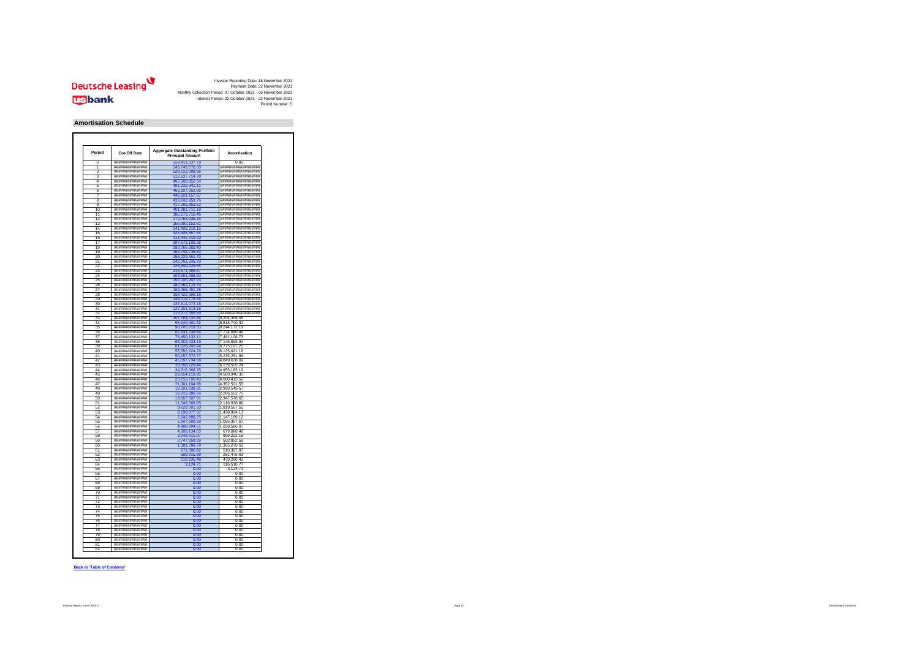

#### **Amortisation Schedule**

| Period          | Cut-Off Date       | <b>Aggregate Outstanding Portfolio</b><br><b>Principal Amount</b> | <b>Amortisation</b> |
|-----------------|--------------------|-------------------------------------------------------------------|---------------------|
| n               | ###############    | 9411637                                                           | 0.00                |
|                 | ***************    | 543.749.576.03                                                    | ******************* |
| 5               | ###############    | 528 212 008 66                                                    | #################   |
| 3               | *****************  | 512,637,714.78                                                    | #################   |
| 4               | ###############    | .000.852.5                                                        | ******************  |
| ĥ               | ###############    | 481,232,341.11                                                    | #################   |
| ĥ               | ****************   | 5 107 252 66                                                      | ******************* |
|                 |                    |                                                                   |                     |
|                 | ###############    | 49,101,157.8                                                      | #################   |
| R               | ****************   | 33 042 959 76                                                     | #################   |
| $\overline{a}$  | ***************    | 417,265,853.52                                                    | ******************* |
| 1ſ              | ###############    | 01,981,711.1                                                      | #################   |
| 11              | ****************   | 6.273.715.46                                                      | #################   |
| 12              | ###############    | 370,768,935.15                                                    | ******************* |
| 13              | ###############    |                                                                   | #################   |
|                 |                    | 5,992,152.61                                                      |                     |
| 14              | ****************   | 341 406 318 15                                                    | #################   |
| 15              | ****************   | 326,505,867.64                                                    | #################   |
| 16              | ###############    | 311,445,319.63                                                    | #################   |
| 17              | ##############     | 297,575,106.25                                                    | #################   |
| 18              | ###############    | 283,765,383.40                                                    | #################   |
| 10              | ***************    |                                                                   | ******************* |
|                 |                    | 269.748.736.83                                                    |                     |
| 20              | ###############    |                                                                   | #################   |
| $\overline{21}$ | ****************   | 242.761.046.70                                                    | #################   |
| 22              | ***************    | 228,940,425.84                                                    | ******************* |
| 23              | ###############    | 16,571,3<br>5 R                                                   | #################   |
| 24              | ****************   | 203,961,596.93                                                    | #################   |
| っち              |                    |                                                                   |                     |
|                 | ###############    | 192,246,942.93                                                    | ******************* |
| 26              | *****************  | 180,382,119.79                                                    | #################   |
| 27              | ****************   | <b>10 ARR 401 28</b><br>16                                        | #################   |
| 28              | ****************   | 158,422,595.18                                                    | #################   |
| 29              | ###############    | 148.018.778.66                                                    | #################   |
| 30              | ##############     | 137,614,072.18                                                    | #################   |
| 31              | ###############    | 127 201 513 18                                                    | #################   |
| 32              | ****************   |                                                                   | #################   |
|                 |                    | 116,972,589.89                                                    |                     |
| 33              | ###############    | 31.                                                               | 9.204.358.05        |
| 34              | ****************   | 98,949,491.52                                                     | 8,818,740.32        |
| २६              | ***************    | 90,705,319.33                                                     | 8,244,172.19        |
| 36              | *****************  |                                                                   | ,774,080.49         |
| 27              | *****************  | 75,450,132.11                                                     | 7,481,106.73        |
| 38              | ###############    | 68,303,433.19                                                     |                     |
|                 |                    |                                                                   | 7,146,698.92        |
| 39              | *****************  | 61.528.245.94                                                     | 6,775,187.25        |
| 40              | ****************   | 302 624 76                                                        | 6.135.621.18        |
| 41              | ****************   | 50, 157, 372. 77                                                  | 5,235,251.99        |
| 42              | ****************   | 45.307.734.68                                                     | 4.849.638.09        |
| 43              | ##############     | 39,168,229.44                                                     | 6,139,505.24        |
| 44              | *****************  | 34,215,066.25                                                     | 4,953,163.19        |
| 45              | ****************   |                                                                   | 4,560,946.30        |
|                 |                    | 29,654,119.95                                                     |                     |
| 46              | ###############    |                                                                   | 4,000,413.52        |
| 47              | ****************   | 21,301,184.88                                                     | 4,352,521.55        |
| 48              | ****************   | 18,301,639.31                                                     | 2.999.545.57        |
| 40              | ****************   |                                                                   | 2 286 552 75        |
| 50              | ****************   | 13,667,507.91                                                     | 2.347.578.65        |
| 51              | ****************   |                                                                   | 2.118.938.86        |
|                 |                    | 11,548,569.05                                                     |                     |
| 52              | ##############     | 9.001.                                                            | 1,919,567.55        |
| 53              | ****************   | 8.190.077.37                                                      | 1.438.924.13        |
| 54              | ##############     | 7,042,888.25                                                      | 1,147,189.12        |
| 55              | *****************  | 5,947,580.58                                                      | 1,095,307.67        |
| 56              | ****************   | 4.888.994.51                                                      | 1.058.586.07        |
| 57              | *****************  | 4,209,134.03                                                      | 679,860.48          |
|                 |                    |                                                                   |                     |
| 58              | ****************** | 3,249,911.87                                                      | 959,222.16          |
| 50              | ###############    |                                                                   | 502.852.58          |
| 60              | ****************   | 1,381,788.79                                                      | 1,365,270.50        |
| 61              | ***************    | 871.390.92                                                        | 510,397.87          |
| 62              | ****************** |                                                                   | 281.475.03          |
| 63              | ****************   | 119 635 48                                                        | 470.280.41          |
|                 |                    |                                                                   |                     |
| 64              | ****************   | 3,124.71                                                          | 116,510.77          |
| 6F              | *****************  | n on                                                              | 3.124.71            |
| 66              | ****************   | 0.00                                                              | 0.00                |
| 67              | ****************** | 0.00                                                              | 0.00                |
| 68              | *****************  | 0.00                                                              | 0.00                |
| 69              | *****************  | n nn                                                              | 0.00                |
|                 |                    |                                                                   |                     |
| 70              | ##############     | 0.00                                                              | 0.00                |
| 71              | ****************   | 0.00                                                              | 0.00                |
| 72              | ****************   | 0.00                                                              | 0.00                |
| 73              | *****************  | 0.00                                                              | 0.00                |
| 74              | ****************** | 0.00                                                              | 0.00                |
|                 |                    |                                                                   |                     |
| 76              | ****************   |                                                                   | 0.00                |
| 76              | ****************   | 0.00                                                              | 0.00                |
| 77              | ****************   | 0.00                                                              | 0.00                |
| 78              | *****************  | n or                                                              | 0.00                |
|                 |                    | 0.00                                                              | 0.00                |
|                 |                    |                                                                   |                     |
| 79              | ****************   |                                                                   |                     |
| 80              | ****************   | 0.00                                                              | 0.00                |
| 81              | *****************  | 0.00                                                              | 0.00                |
| 82              | ****************   | 0.00                                                              | 0.00                |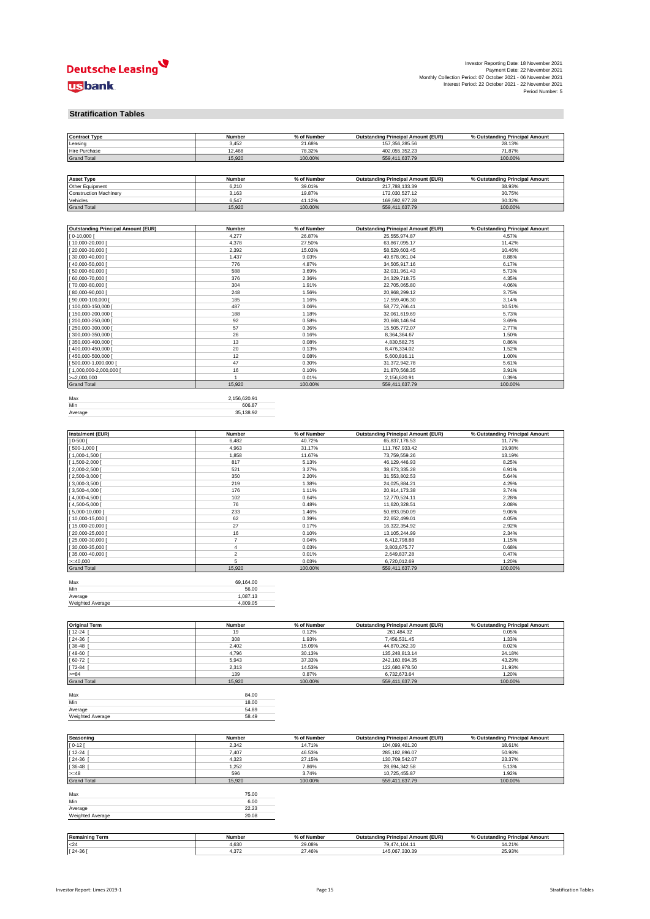

| Investor Reporting Date: 18 November 2021                     |                                |                  |  |
|---------------------------------------------------------------|--------------------------------|------------------|--|
|                                                               | Payment Date: 22 November 2021 |                  |  |
| Monthly Collection Period: 07 October 2021 - 06 November 2021 |                                |                  |  |
| Interest Period: 22 October 2021 - 22 November 2021           |                                |                  |  |
|                                                               |                                | Period Number: 5 |  |

#### **Stratification Tables**

| <b>Contract Type</b>                      | Number         | % of Number      | <b>Outstanding Principal Amount (EUR)</b> | % Outstanding Principal Amount |
|-------------------------------------------|----------------|------------------|-------------------------------------------|--------------------------------|
| Leasing                                   | 3,452          | 21.68%           | 157,356,285.56                            | 28.13%                         |
| Hire Purchase                             | 12,468         | 78.32%           | 402,055,352.23                            | 71.87%                         |
| <b>Grand Total</b>                        | 15,920         | 100.00%          | 559,411,637.79                            | 100.00%                        |
|                                           |                |                  |                                           |                                |
|                                           |                |                  |                                           |                                |
| <b>Asset Type</b>                         | Number         | % of Number      | <b>Outstanding Principal Amount (EUR)</b> | % Outstanding Principal Amount |
| Other Equipment                           | 6,210          | 39.01%           | 217,788,133.39                            | 38.93%                         |
| <b>Construction Machinery</b>             | 3,163          | 19.87%           | 172,030,527.12                            | 30.75%                         |
| Vehicles                                  | 6,547          | 41.12%           | 169,592,977.28                            | 30.32%                         |
| <b>Grand Total</b>                        | 15,920         | 100.00%          | 559,411,637.79                            | 100.00%                        |
|                                           |                |                  |                                           |                                |
| <b>Outstanding Principal Amount (EUR)</b> | Number         | % of Number      | <b>Outstanding Principal Amount (EUR)</b> | % Outstanding Principal Amount |
| $0-10,000$                                | 4,277          | 26.87%           | 25,555,974.87                             | 4.57%                          |
| 10,000-20,000 [                           | 4,378          | 27.50%           | 63,867,095.17                             | 11.42%                         |
| 20,000-30,000                             | 2,392          | 15.03%           | 58,529,603.45                             | 10.46%                         |
| 30,000-40,000                             | 1,437          | 9.03%            | 49,678,061.04                             | 8.88%                          |
| 40,000-50,000 [                           | 776            | 4.87%            | 34,505,917.16                             | 6.17%                          |
| 50,000-60,000                             | 588            | 3.69%            | 32,031,961.43                             | 5.73%                          |
| 60,000-70,000                             | 376            | 2.36%            | 24,329,718.75                             | 4.35%                          |
| 70,000-80,000 [                           | 304            | 1.91%            | 22,705,065.80                             | 4.06%                          |
| 80,000-90,000                             | 248            | 1.56%            | 20,968,299.12                             | 3.75%                          |
| 90,000-100,000                            | 185            | 1.16%            | 17,559,406.30                             | 3.14%                          |
| 100,000-150,000                           | 487            | 3.06%            | 58,772,766.41                             | 10.51%                         |
| 150,000-200,000                           | 188            | 1.18%            | 32,061,619.69                             | 5.73%                          |
| 200,000-250,000                           | 92             | 0.58%            | 20,668,146.94                             | 3.69%                          |
| 250,000-300,000                           | 57             | 0.36%            | 15,505,772.07                             | 2.77%                          |
| 300,000-350,000                           | 26             | 0.16%            | 8,364,364.67                              | 1.50%                          |
| 350,000-400,000                           | 13             | 0.08%            | 4,830,582.75                              | 0.86%                          |
| 400,000-450,000                           | 20             | 0.13%            | 8,476,334.02                              | 1.52%                          |
| 450,000-500,000                           | 12             | 0.08%            | 5,600,816.11                              | 1.00%                          |
| 500,000-1,000,000                         | 47             | 0.30%            | 31,372,942.78                             | 5.61%                          |
| 1,000,000-2,000,000                       | 16             | 0.10%            | 21,870,568.35                             | 3.91%                          |
| $=2.000.000$                              | $\overline{1}$ | 0.01%            | 2,156,620.91                              | 0.39%                          |
| <b>Grand Total</b>                        | 15,920         | 100.00%          | 559,411,637.79                            | 100.00%                        |
|                                           |                |                  |                                           |                                |
| Max                                       | 2,156,620.91   |                  |                                           |                                |
| Min                                       | 606.87         |                  |                                           |                                |
| Average                                   | 35,138.92      |                  |                                           |                                |
|                                           |                |                  |                                           |                                |
| <b>Instalment (EUR)</b>                   | Number         | % of Number      | <b>Outstanding Principal Amount (EUR)</b> | % Outstanding Principal Amount |
| $0 - 500$ [                               | 6,482          | 40.72%           | 65,837,176.53                             | 11.77%                         |
| 500-1,000                                 | 4,963          | 31.17%           | 111,767,933.42                            | 19.98%                         |
| 1,000-1,500                               | 1,858          | 11.67%           | 73,759,559.26                             | 13.19%                         |
| 1,500-2,000                               | 817            | 5.13%            | 46,129,446.93                             | 8.25%                          |
| 2,000-2,500                               | 521            | 3.27%            | 38,673,335.28                             | 6.91%                          |
| $2,500-3,000$                             | 350            | 2.20%            | 31,553,802.53                             | 5.64%                          |
| $[3,000-3,500]$                           | 219            | 1.38%            | 24,025,884.21                             | 4.29%                          |
| $3,500 - 4,000$                           | 176            | 1.11%            | 20,914,173.38                             | 3.74%                          |
| 4,000-4,500                               | 102            | 0.64%            | 12,770,524.11                             | 2.28%                          |
| 4,500-5,000                               | 76             | 0.48%            | 11,620,328.51                             | 2.08%                          |
| 5,000-10,000                              | 233            | 1.46%            | 50,693,050.09                             | 9.06%                          |
| 10,000-15,000                             | 62             | 0.39%            | 22,652,499.01                             | 4.05%                          |
| 15,000-20,000                             | 27             | 0.17%            | 16,322,354.92                             | 2.92%                          |
| 20,000-25,000                             | 16             | 0.10%            | 13, 105, 244. 99                          | 2.34%                          |
| 25,000-30,000                             | $\overline{7}$ | 0.04%            | 6,412,798.88                              | 1.15%                          |
| 30,000-35,000                             | $\overline{4}$ | 0.03%            | 3,803,675.77                              | 0.68%                          |
| 35,000-40,000                             | $\sqrt{2}$     | 0.01%            | 2,649,837.28                              | 0.47%                          |
| $>= 40,000$                               | 5              | 0.03%            | 6,720,012.69                              | 1.20%                          |
| <b>Grand Total</b>                        | 15,920         | 100.00%          | 559,411,637.79                            | 100.00%                        |
|                                           |                |                  |                                           |                                |
| Max                                       | 69,164.00      |                  |                                           |                                |
| Min                                       | 56.00          |                  |                                           |                                |
| Average                                   | 1,087.13       |                  |                                           |                                |
| Weighted Average                          | 4,809.05       |                  |                                           |                                |
|                                           |                |                  |                                           |                                |
|                                           |                |                  |                                           |                                |
| <b>Original Term</b>                      | Number         | % of Number      | <b>Outstanding Principal Amount (EUR)</b> | % Outstanding Principal Amount |
| 12-24                                     | 19             | 0.12%            | 261,484.32                                | 0.05%                          |
| 24-36                                     | 308            | 1.93%            | 7,456,531.45                              | 1.33%                          |
| 36-48                                     | 2,402          | 15.09%           | 44,870,262.39                             | 8.02%                          |
| 48-60                                     | 4,796          | 30.13%           | 135,248,813.14                            | 24.18%                         |
| 60-72                                     | 5,943          | 37.33%           | 242,160,894.35                            | 43.29%                         |
| $72 - 84$                                 | 2,313          | 14.53%           | 122,680,978.50                            | 21.93%                         |
| $>= 84$                                   | 139            | 0.87%            | 6,732,673.64                              | 1.20%                          |
| <b>Grand Total</b>                        | 15,920         | 100.00%          | 559,411,637.79                            | 100.00%                        |
| Max                                       | 84.00          |                  |                                           |                                |
| Min                                       | 18.00          |                  |                                           |                                |
| Average                                   | 54.89          |                  |                                           |                                |
| Weighted Average                          | 58.49          |                  |                                           |                                |
|                                           |                |                  |                                           |                                |
|                                           |                |                  |                                           |                                |
| Seasoning                                 | Number         | % of Number      | <b>Outstanding Principal Amount (EUR)</b> | % Outstanding Principal Amount |
| $0 - 12$                                  | 2,342          | 14.71%           | 104,099,401.20                            | 18.61%                         |
| $12 - 24$                                 | 7,407          | 46.53%           | 285,182,896.07                            | 50.98%                         |
| 24-36                                     | 4,323          | 27.15%           | 130,709,542.07                            | 23.37%                         |
| 36-48                                     | 1,252          | 7.86%            | 28,694,342.58                             | 5.13%                          |
| $>= 48$                                   | 596            | 3.74%            | 10,725,455.87                             | 1.92%                          |
| <b>Grand Total</b>                        | 15,920         | 100.00%          | 559,411,637.79                            | 100.00%                        |
|                                           |                |                  |                                           |                                |
| Max                                       | 75.00          |                  |                                           |                                |
| Min                                       | 6.00           |                  |                                           |                                |
| Average                                   | 22.23          |                  |                                           |                                |
| Weighted Average                          | 20.08          |                  |                                           |                                |
|                                           |                |                  |                                           |                                |
|                                           |                |                  |                                           |                                |
| <b>Remaining Term</b>                     |                |                  |                                           |                                |
|                                           | Number         | % of Number      | <b>Outstanding Principal Amount (EUR)</b> | % Outstanding Principal Amount |
| $24$<br>$[24-36]$                         | 4,630<br>4,372 | 29.08%<br>27.46% | 79,474,104.11<br>145,067,330.39           | 14.21%<br>25.93%               |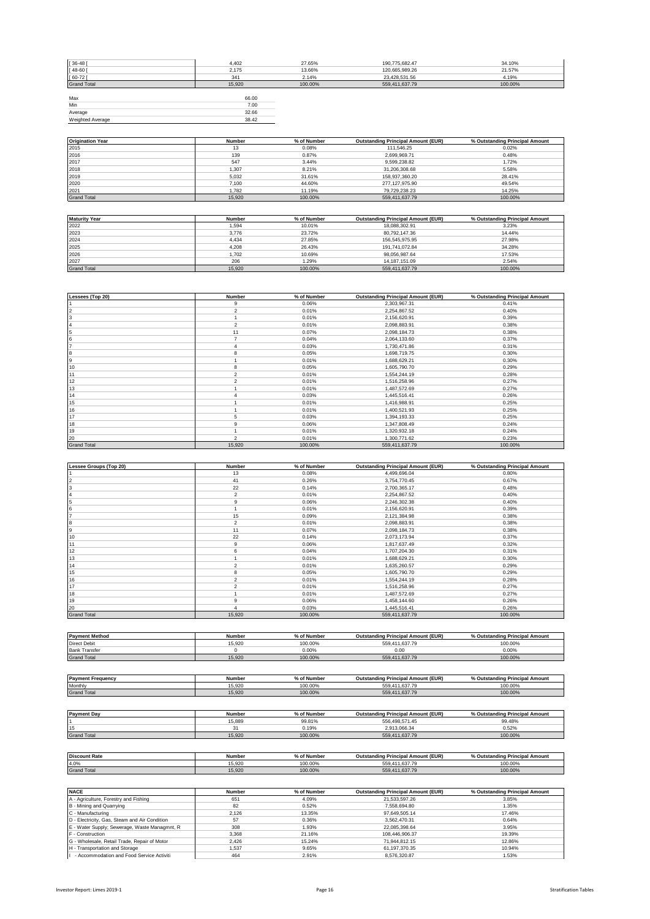| $[36 - 48]$        | 4,402  | 27.65%  | 190,775,682.47 | 34.10%  |
|--------------------|--------|---------|----------------|---------|
| $[48-60]$          | 2,175  | 13.66%  | 120,665,989.26 | 21.57%  |
| $[60-72]$          | 341    | 2.14%   | 23,428,531.56  | 4.19%   |
| <b>Grand Total</b> | 15,920 | 100.00% | 559,411,637.79 | 100.00% |
|                    |        |         |                |         |
| Max                | 66.00  |         |                |         |
| Min                | 7.00   |         |                |         |
| Average            | 32.66  |         |                |         |
| Weighted Average   | 38.42  |         |                |         |

| <b>Origination Year</b> | Number | % of Number | <b>Outstanding Principal Amount (EUR)</b> | % Outstanding Principal Amount |
|-------------------------|--------|-------------|-------------------------------------------|--------------------------------|
| 2015                    | 13     | 0.08%       | 111.546.25                                | 0.02%                          |
| 2016                    | 139    | 0.87%       | 2,699,969.71                              | 0.48%                          |
| 2017                    | 547    | 3.44%       | 9.599.238.82                              | 1.72%                          |
| 2018                    | 1,307  | 8.21%       | 31,206,308.68                             | 5.58%                          |
| 2019                    | 5,032  | 31.61%      | 158.937.360.20                            | 28.41%                         |
| 2020                    | 7.100  | 44.60%      | 277,127,975.90                            | 49.54%                         |
| 2021                    | 1.782  | 11.19%      | 79.729.238.23                             | 14.25%                         |
| <b>Grand Total</b>      | 15.920 | 100.00%     | 559.411.637.79                            | 100.00%                        |

| <b>Maturity Year</b> | Number | % of Number | <b>Outstanding Principal Amount (EUR)</b> | % Outstanding Principal Amount |
|----------------------|--------|-------------|-------------------------------------------|--------------------------------|
| 2022                 | 1,594  | 10.01%      | 18.088.302.91                             | 3.23%                          |
| 2023                 | 3.776  | 23.72%      | 80.792.147.36                             | 14.44%                         |
| 2024                 | 4.434  | 27.85%      | 156.545.975.95                            | 27.98%                         |
| 2025                 | 4.208  | 26.43%      | 191.741.072.84                            | 34.28%                         |
| 2026                 | 1.702  | 10.69%      | 98.056.987.64                             | 17.53%                         |
| 2027                 | 206    | 1.29%       | 14.187.151.09                             | 2.54%                          |
| <b>Grand Total</b>   | 15.920 | 100.00%     | 559.411.637.79                            | 100.00%                        |

| Lessees (Top 20)   | Number         | % of Number | <b>Outstanding Principal Amount (EUR)</b> | % Outstanding Principal Amount |
|--------------------|----------------|-------------|-------------------------------------------|--------------------------------|
|                    | 9              | 0.06%       | 2,303,967.31                              | 0.41%                          |
| 2                  | $\overline{2}$ | 0.01%       | 2,254,867.52                              | 0.40%                          |
| 3                  |                | 0.01%       | 2,156,620.91                              | 0.39%                          |
|                    | $\overline{2}$ | 0.01%       | 2,098,883.91                              | 0.38%                          |
| 5                  | 11             | 0.07%       | 2,098,184.73                              | 0.38%                          |
| 6                  |                | 0.04%       | 2,064,133.60                              | 0.37%                          |
|                    |                | 0.03%       | 1,730,471.86                              | 0.31%                          |
| 8                  | 8              | 0.05%       | 1,698,719.75                              | 0.30%                          |
| 9                  |                | 0.01%       | 1,688,629.21                              | 0.30%                          |
| 10                 | 8              | 0.05%       | 1,605,790.70                              | 0.29%                          |
| 11                 | $\overline{2}$ | 0.01%       | 1,554,244.19                              | 0.28%                          |
| 12                 | 2              | 0.01%       | 1,516,258.96                              | 0.27%                          |
| 13                 |                | 0.01%       | 1,487,572.69                              | 0.27%                          |
| 14                 | 4              | 0.03%       | 1,445,516.41                              | 0.26%                          |
| 15                 |                | 0.01%       | 1,416,988.91                              | 0.25%                          |
| 16                 |                | 0.01%       | 1,400,521.93                              | 0.25%                          |
| 17                 | 5              | 0.03%       | 1,394,193.33                              | 0.25%                          |
| 18                 | 9              | 0.06%       | 1,347,808.49                              | 0.24%                          |
| 19                 |                | 0.01%       | 1,320,932.18                              | 0.24%                          |
| 20                 | $\mathfrak{p}$ | 0.01%       | 1,300,771.62                              | 0.23%                          |
| <b>Grand Total</b> | 15,920         | 100.00%     | 559,411,637.79                            | 100.00%                        |

| Lessee Groups (Top 20) | Number         | % of Number | <b>Outstanding Principal Amount (EUR)</b> | % Outstanding Principal Amount |
|------------------------|----------------|-------------|-------------------------------------------|--------------------------------|
|                        | 13             | 0.08%       | 4,499,696.04                              | 0.80%                          |
| $\overline{2}$         | 41             | 0.26%       | 3,754,770.45                              | 0.67%                          |
| 3                      | 22             | 0.14%       | 2,700,365.17                              | 0.48%                          |
| 14                     | $\overline{2}$ | 0.01%       | 2,254,867.52                              | 0.40%                          |
| 5                      | 9              | 0.06%       | 2,246,302.38                              | 0.40%                          |
| 6                      |                | 0.01%       | 2,156,620.91                              | 0.39%                          |
| 17                     | 15             | 0.09%       | 2,121,384.98                              | 0.38%                          |
| 8                      | $\overline{2}$ | 0.01%       | 2,098,883.91                              | 0.38%                          |
| 9                      | 11             | 0.07%       | 2,098,184.73                              | 0.38%                          |
| 10                     | 22             | 0.14%       | 2,073,173.94                              | 0.37%                          |
| 11                     | 9              | 0.06%       | 1,817,637.49                              | 0.32%                          |
| 12                     | 6              | 0.04%       | 1,707,204.30                              | 0.31%                          |
| 13                     |                | 0.01%       | 1,688,629.21                              | 0.30%                          |
| 14                     | $\overline{2}$ | 0.01%       | 1,635,260.57                              | 0.29%                          |
| 15                     | 8              | 0.05%       | 1,605,790.70                              | 0.29%                          |
| 16                     | $\overline{2}$ | 0.01%       | 1,554,244.19                              | 0.28%                          |
| 17                     | $\overline{2}$ | 0.01%       | 1,516,258.96                              | 0.27%                          |
| 18                     |                | 0.01%       | 1,487,572.69                              | 0.27%                          |
| 19                     | 9              | 0.06%       | 1,458,144.60                              | 0.26%                          |
| 20                     |                | 0.03%       | 1,445,516.41                              | 0.26%                          |
| <b>Grand Total</b>     | 15,920         | 100.00%     | 559,411,637.79                            | 100.00%                        |

| <b>Payment Method</b>    | Number        | % of Number | <b>Outstanding Principal Amount (EUR)</b> | % Outstanding Principal Amount |
|--------------------------|---------------|-------------|-------------------------------------------|--------------------------------|
| <b>Direct Debit</b>      | 15.920        | 100.00%     | 559.411.637.79                            | 100.00%                        |
| <b>Bank Transfer</b>     |               | $0.00\%$    | 0.00                                      | 0.00%                          |
| <b>Grand Total</b>       | 15,920        | 100.00%     | 559.411.637.79                            | 100.00%                        |
|                          |               |             |                                           |                                |
|                          |               |             |                                           |                                |
| <b>Payment Frequency</b> | <b>Number</b> | % of Number | <b>Outstanding Principal Amount (EUR)</b> | % Outstanding Principal Amount |
|                          |               |             |                                           |                                |

Monthly 15,920 100.00% 559,411,637.79 100.00% Grand Total 15,920 100.00% 559,411,637.79 100.00%

| <b>Payment Day</b>   | Number | % of Number | <b>Outstanding Principal Amount (EUR)</b> | % Outstanding Principal Amount |
|----------------------|--------|-------------|-------------------------------------------|--------------------------------|
|                      | 15,889 | 99.81%      | 556.498.571.45                            | 99.48%                         |
| 15                   | 31     | 0.19%       | 2.913.066.34                              | 0.52%                          |
| <b>Grand Total</b>   | 15,920 | 100.00%     | 559,411,637.79                            | 100.00%                        |
|                      |        |             |                                           |                                |
|                      |        |             |                                           |                                |
| <b>Discount Rate</b> | Number | % of Number | <b>Outstanding Principal Amount (EUR)</b> | % Outstanding Principal Amount |
| 4.0%                 | 15.920 | 100.00%     | 559.411.637.79                            | 100.00%                        |
| <b>Grand Total</b>   | 15.920 | 100.00%     | 559.411.637.79                            | 100.00%                        |

| <b>NACE</b>                                   | Number | % of Number | <b>Outstanding Principal Amount (EUR)</b> | % Outstanding Principal Amount |
|-----------------------------------------------|--------|-------------|-------------------------------------------|--------------------------------|
| A - Agriculture, Forestry and Fishing         | 651    | 4.09%       | 21.533.597.26                             | 3.85%                          |
| B - Mining and Quarrying                      | 82     | 0.52%       | 7.558.694.80                              | 1.35%                          |
| C - Manufacturing                             | 2.126  | 13.35%      | 97.649.505.14                             | 17.46%                         |
| D - Electricity, Gas, Steam and Air Condition | 57     | 0.36%       | 3.562.470.31                              | 0.64%                          |
| E - Water Supply; Sewerage, Waste Managmnt, R | 308    | 1.93%       | 22.085.398.64                             | 3.95%                          |
| F - Construction                              | 3.368  | 21.16%      | 108.446.906.37                            | 19.39%                         |
| G - Wholesale, Retail Trade, Repair of Motor  | 2.426  | 15.24%      | 71.944.812.15                             | 12.86%                         |
| H - Transportation and Storage                | 1.537  | 9.65%       | 61.197.370.35                             | 10.94%                         |
| - Accommodation and Food Service Activiti     | 464    | 2.91%       | 8.576.320.87                              | 1.53%                          |

 $\overline{\phantom{a}}$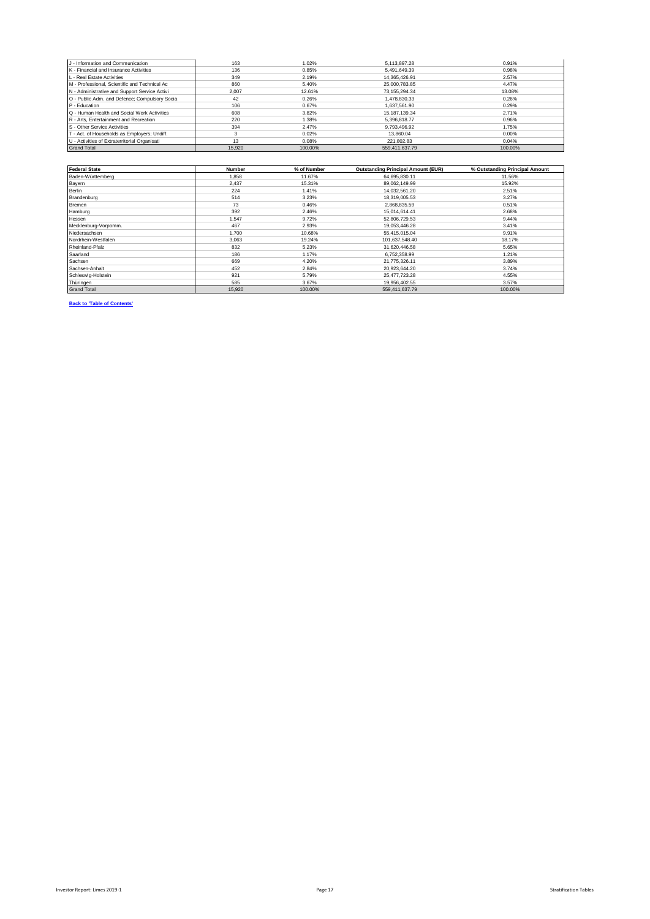| J - Information and Communication             | 163    | 1.02%   | 5.113.897.28   | 0.91%   |
|-----------------------------------------------|--------|---------|----------------|---------|
| K - Financial and Insurance Activities        | 136    | 0.85%   | 5.491.649.39   | 0.98%   |
| L - Real Estate Activities                    | 349    | 2.19%   | 14.365.426.91  | 2.57%   |
| M - Professional, Scientific and Technical Ac | 860    | 5.40%   | 25.000.783.85  | 4.47%   |
| N - Administrative and Support Service Activi | 2.007  | 12.61%  | 73.155.294.34  | 13.08%  |
| O - Public Adm. and Defence; Compulsory Socia | 42     | 0.26%   | 1.478.830.33   | 0.26%   |
| P - Education                                 | 106    | 0.67%   | 1.637.561.90   | 0.29%   |
| Q - Human Health and Social Work Activities   | 608    | 3.82%   | 15.187.139.34  | 2.71%   |
| R - Arts. Entertainment and Recreation        | 220    | 1.38%   | 5.396.818.77   | 0.96%   |
| S - Other Service Activities                  | 394    | 2.47%   | 9.793.496.92   | 1.75%   |
| T - Act. of Households as Employers; Undiff.  |        | 0.02%   | 13,860.04      | 0.00%   |
| U - Activities of Extraterritorial Organisati | 13     | 0.08%   | 221.802.83     | 0.04%   |
| <b>Grand Total</b>                            | 15,920 | 100.00% | 559.411.637.79 | 100.00% |

| <b>Federal State</b> | <b>Number</b> | % of Number | <b>Outstanding Principal Amount (EUR)</b> | % Outstanding Principal Amount |
|----------------------|---------------|-------------|-------------------------------------------|--------------------------------|
| Baden-Württemberg    | 1.858         | 11.67%      | 64,695,830.11                             | 11.56%                         |
| Bayern               | 2.437         | 15.31%      | 89,062,149.99                             | 15.92%                         |
| <b>Berlin</b>        | 224           | 1.41%       | 14,032,561.20                             | 2.51%                          |
| Brandenburg          | 514           | 3.23%       | 18,319,005.53                             | 3.27%                          |
| Bremen               | 73            | 0.46%       | 2,868,835.59                              | 0.51%                          |
| Hamburg              | 392           | 2.46%       | 15,014,614.41                             | 2.68%                          |
| Hessen               | 1.547         | 9.72%       | 52,806,729.53                             | 9.44%                          |
| Mecklenburg-Vorpomm. | 467           | 2.93%       | 19.053.446.28                             | 3.41%                          |
| Niedersachsen        | 1.700         | 10.68%      | 55.415.015.04                             | 9.91%                          |
| Nordrhein-Westfalen  | 3,063         | 19.24%      | 101,637,548.40                            | 18.17%                         |
| Rheinland-Pfalz      | 832           | 5.23%       | 31,620,446.58                             | 5.65%                          |
| Saarland             | 186           | 1.17%       | 6,752,358.99                              | 1.21%                          |
| Sachsen              | 669           | 4.20%       | 21.775.326.11                             | 3.89%                          |
| Sachsen-Anhalt       | 452           | 2.84%       | 20,923,644.20                             | 3.74%                          |
| Schleswig-Holstein   | 921           | 5.79%       | 25,477,723.28                             | 4.55%                          |
| Thüringen            | 585           | 3.67%       | 19,956,402.55                             | 3.57%                          |
| <b>Grand Total</b>   | 15,920        | 100.00%     | 559,411,637.79                            | 100.00%                        |